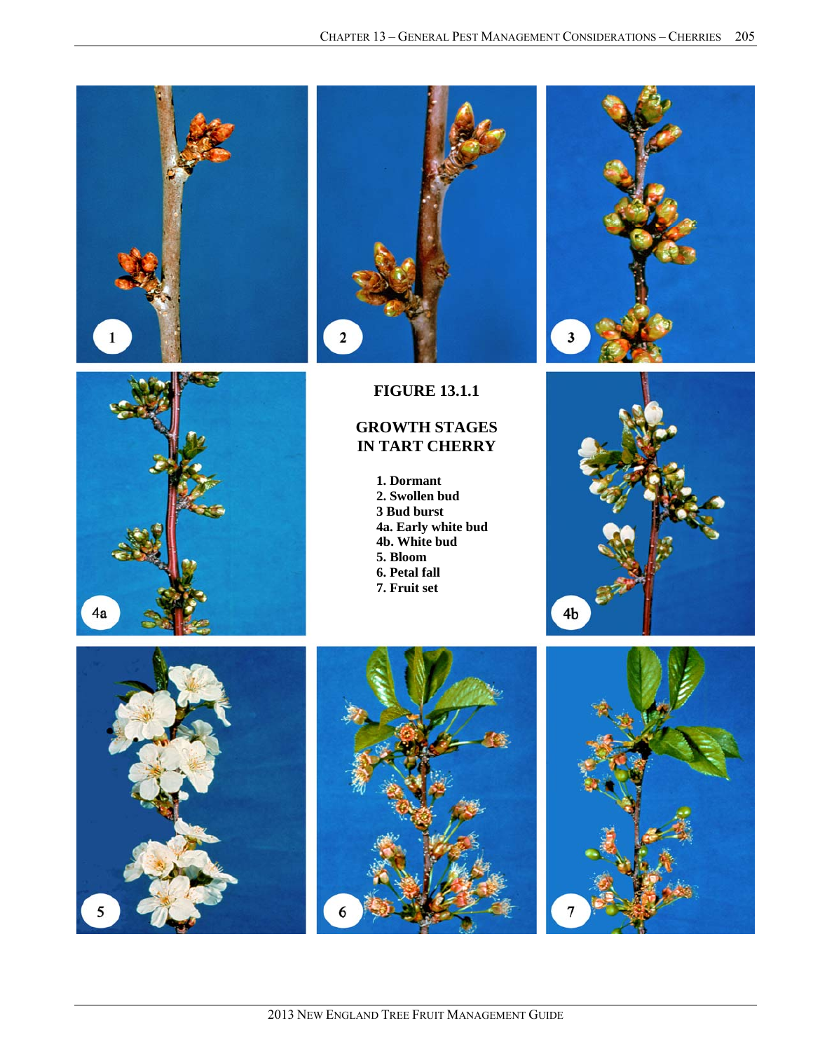







## **FIGURE 12.1.1**

## **GROWTH STAGES IN TART CHERRY** FIGURE 13.1.1<br>GROWTH STAGES<br>IN TART CHERRY

**1. Dormant 1. Dormant 2. Swollen bud 2. Swollen bud 3 Bud burst 3 Bud burst 4. Green cluster 4a. Early white bud 5. White bud 4b. White bud 6. Bloom 6. Petal fall 7. Petal fall 7. Fruit set 5. Bloom** 







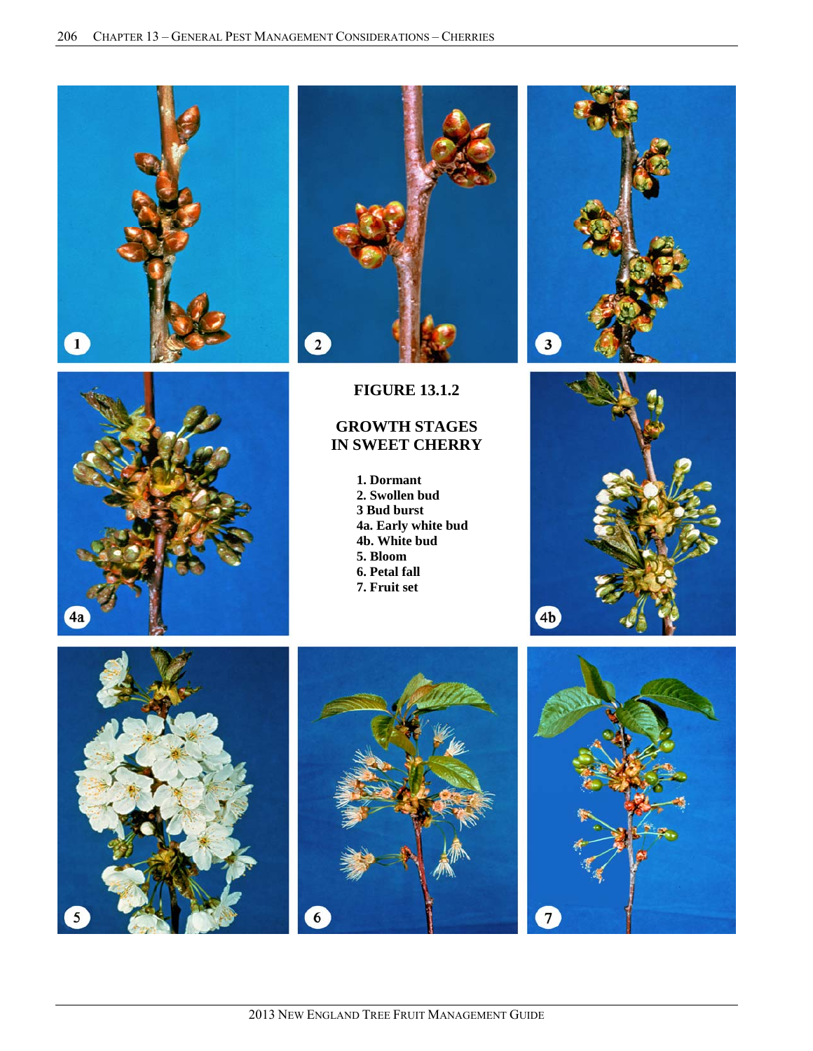







**FIGURE 13.1.2** 

## **GROWTH STAGES IN SWEET CHERRY**

**1. Dormant 2. Swollen bud 3 Bud burst 4a. Early white bud 4b. White bud 5. Bloom 6. Petal fall 7. Fruit set** 







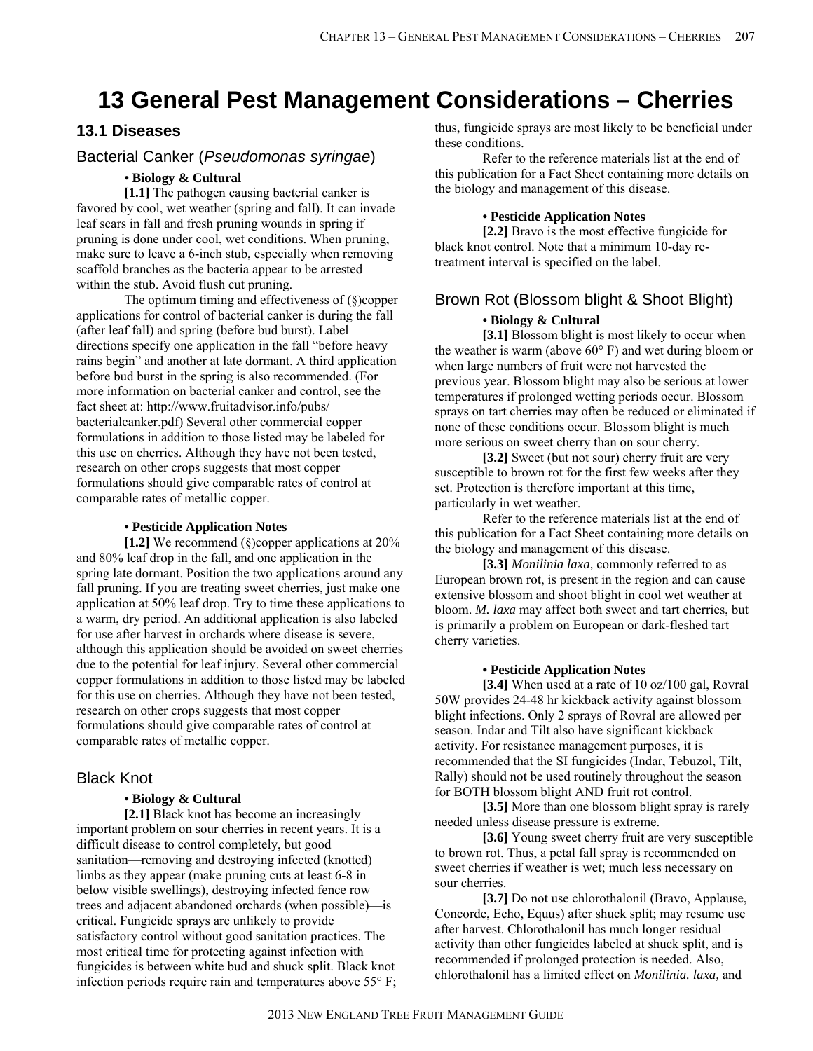# **13 General Pest Management Considerations – Cherries**

## **13.1 Diseases**

## Bacterial Canker (*Pseudomonas syringae*)

## *•* **Biology & Cultural**

**[1.1]** The pathogen causing bacterial canker is favored by cool, wet weather (spring and fall). It can invade leaf scars in fall and fresh pruning wounds in spring if pruning is done under cool, wet conditions. When pruning, make sure to leave a 6-inch stub, especially when removing scaffold branches as the bacteria appear to be arrested within the stub. Avoid flush cut pruning.

The optimum timing and effectiveness of (§)copper applications for control of bacterial canker is during the fall (after leaf fall) and spring (before bud burst). Label directions specify one application in the fall "before heavy rains begin" and another at late dormant. A third application before bud burst in the spring is also recommended. (For more information on bacterial canker and control, see the fact sheet at: http://www.fruitadvisor.info/pubs/ bacterialcanker.pdf) Several other commercial copper formulations in addition to those listed may be labeled for this use on cherries. Although they have not been tested, research on other crops suggests that most copper formulations should give comparable rates of control at comparable rates of metallic copper.

#### **• Pesticide Application Notes**

**[1.2]** We recommend (§)copper applications at 20% and 80% leaf drop in the fall, and one application in the spring late dormant. Position the two applications around any fall pruning. If you are treating sweet cherries, just make one application at 50% leaf drop. Try to time these applications to a warm, dry period. An additional application is also labeled for use after harvest in orchards where disease is severe, although this application should be avoided on sweet cherries due to the potential for leaf injury. Several other commercial copper formulations in addition to those listed may be labeled for this use on cherries. Although they have not been tested, research on other crops suggests that most copper formulations should give comparable rates of control at comparable rates of metallic copper.

## Black Knot

## **• Biology & Cultural**

**[2.1]** Black knot has become an increasingly important problem on sour cherries in recent years. It is a difficult disease to control completely, but good sanitation—removing and destroying infected (knotted) limbs as they appear (make pruning cuts at least 6-8 in below visible swellings), destroying infected fence row trees and adjacent abandoned orchards (when possible)—is critical. Fungicide sprays are unlikely to provide satisfactory control without good sanitation practices. The most critical time for protecting against infection with fungicides is between white bud and shuck split. Black knot infection periods require rain and temperatures above 55° F; thus, fungicide sprays are most likely to be beneficial under these conditions.

Refer to the reference materials list at the end of this publication for a Fact Sheet containing more details on the biology and management of this disease.

#### **• Pesticide Application Notes**

**[2.2]** Bravo is the most effective fungicide for black knot control. Note that a minimum 10-day retreatment interval is specified on the label.

## Brown Rot (Blossom blight & Shoot Blight)

#### **• Biology & Cultural**

[3.1] Blossom blight is most likely to occur when the weather is warm (above 60° F) and wet during bloom or when large numbers of fruit were not harvested the previous year. Blossom blight may also be serious at lower temperatures if prolonged wetting periods occur. Blossom sprays on tart cherries may often be reduced or eliminated if none of these conditions occur. Blossom blight is much more serious on sweet cherry than on sour cherry.

**[3.2]** Sweet (but not sour) cherry fruit are very susceptible to brown rot for the first few weeks after they set. Protection is therefore important at this time, particularly in wet weather.

 Refer to the reference materials list at the end of this publication for a Fact Sheet containing more details on the biology and management of this disease.

**[3.3]** *Monilinia laxa,* commonly referred to as European brown rot, is present in the region and can cause extensive blossom and shoot blight in cool wet weather at bloom. *M. laxa* may affect both sweet and tart cherries, but is primarily a problem on European or dark-fleshed tart cherry varieties.

#### **• Pesticide Application Notes**

**[3.4]** When used at a rate of 10 oz/100 gal, Rovral 50W provides 24-48 hr kickback activity against blossom blight infections. Only 2 sprays of Rovral are allowed per season. Indar and Tilt also have significant kickback activity. For resistance management purposes, it is recommended that the SI fungicides (Indar, Tebuzol, Tilt, Rally) should not be used routinely throughout the season for BOTH blossom blight AND fruit rot control.

[3.5] More than one blossom blight spray is rarely needed unless disease pressure is extreme.

**[3.6]** Young sweet cherry fruit are very susceptible to brown rot. Thus, a petal fall spray is recommended on sweet cherries if weather is wet; much less necessary on sour cherries.

 **[3.7]** Do not use chlorothalonil (Bravo, Applause, Concorde, Echo, Equus) after shuck split; may resume use after harvest. Chlorothalonil has much longer residual activity than other fungicides labeled at shuck split, and is recommended if prolonged protection is needed. Also, chlorothalonil has a limited effect on *Monilinia. laxa,* and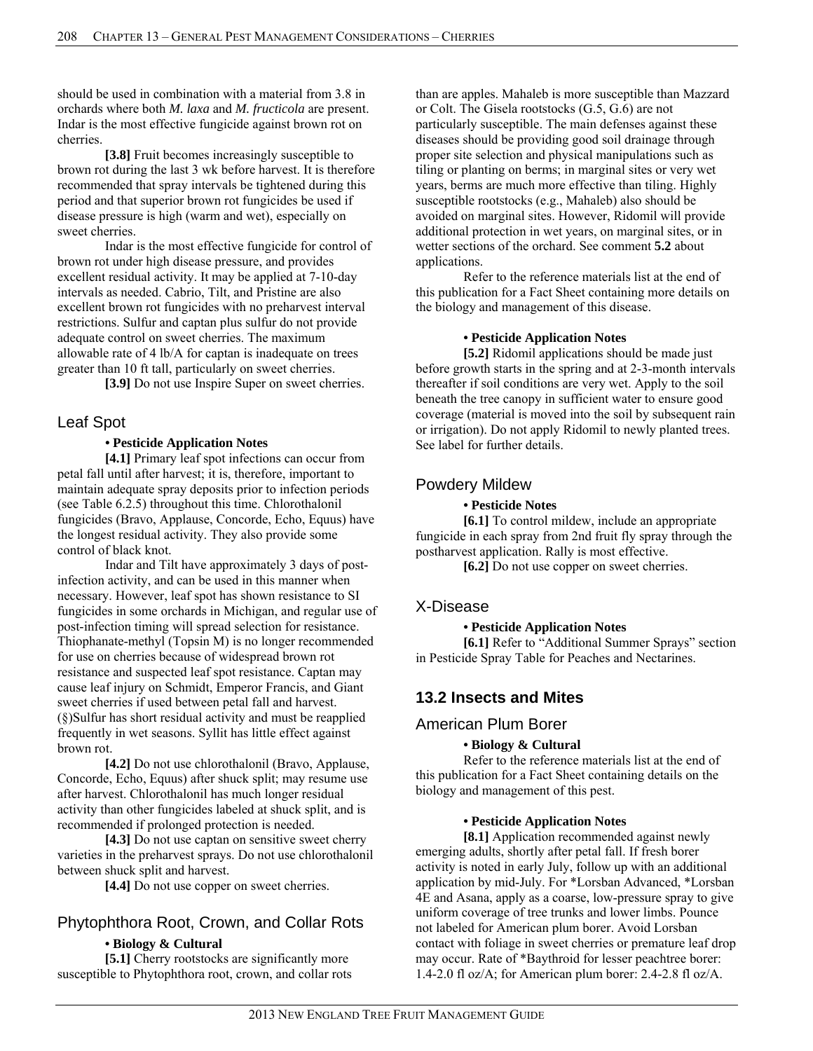should be used in combination with a material from 3.8 in orchards where both *M. laxa* and *M. fructicola* are present. Indar is the most effective fungicide against brown rot on cherries.

**[3.8]** Fruit becomes increasingly susceptible to brown rot during the last 3 wk before harvest. It is therefore recommended that spray intervals be tightened during this period and that superior brown rot fungicides be used if disease pressure is high (warm and wet), especially on sweet cherries.

Indar is the most effective fungicide for control of brown rot under high disease pressure, and provides excellent residual activity. It may be applied at 7-10-day intervals as needed. Cabrio, Tilt, and Pristine are also excellent brown rot fungicides with no preharvest interval restrictions. Sulfur and captan plus sulfur do not provide adequate control on sweet cherries. The maximum allowable rate of 4 lb/A for captan is inadequate on trees greater than 10 ft tall, particularly on sweet cherries.

**[3.9]** Do not use Inspire Super on sweet cherries.

## Leaf Spot

#### **• Pesticide Application Notes**

**[4.1]** Primary leaf spot infections can occur from petal fall until after harvest; it is, therefore, important to maintain adequate spray deposits prior to infection periods (see Table 6.2.5) throughout this time. Chlorothalonil fungicides (Bravo, Applause, Concorde, Echo, Equus) have the longest residual activity. They also provide some control of black knot.

Indar and Tilt have approximately 3 days of postinfection activity, and can be used in this manner when necessary. However, leaf spot has shown resistance to SI fungicides in some orchards in Michigan, and regular use of post-infection timing will spread selection for resistance. Thiophanate-methyl (Topsin M) is no longer recommended for use on cherries because of widespread brown rot resistance and suspected leaf spot resistance. Captan may cause leaf injury on Schmidt, Emperor Francis, and Giant sweet cherries if used between petal fall and harvest. (§)Sulfur has short residual activity and must be reapplied frequently in wet seasons. Syllit has little effect against brown rot.

**[4.2]** Do not use chlorothalonil (Bravo, Applause, Concorde, Echo, Equus) after shuck split; may resume use after harvest. Chlorothalonil has much longer residual activity than other fungicides labeled at shuck split, and is recommended if prolonged protection is needed.

[4.3] Do not use captan on sensitive sweet cherry varieties in the preharvest sprays. Do not use chlorothalonil between shuck split and harvest.

**[4.4]** Do not use copper on sweet cherries.

# Phytophthora Root, Crown, and Collar Rots

## **• Biology & Cultural**

[5.1] Cherry rootstocks are significantly more susceptible to Phytophthora root, crown, and collar rots than are apples. Mahaleb is more susceptible than Mazzard or Colt. The Gisela rootstocks (G.5, G.6) are not particularly susceptible. The main defenses against these diseases should be providing good soil drainage through proper site selection and physical manipulations such as tiling or planting on berms; in marginal sites or very wet years, berms are much more effective than tiling. Highly susceptible rootstocks (e.g., Mahaleb) also should be avoided on marginal sites. However, Ridomil will provide additional protection in wet years, on marginal sites, or in wetter sections of the orchard. See comment **5.2** about applications.

Refer to the reference materials list at the end of this publication for a Fact Sheet containing more details on the biology and management of this disease.

## **• Pesticide Application Notes**

**[5.2]** Ridomil applications should be made just before growth starts in the spring and at 2-3-month intervals thereafter if soil conditions are very wet. Apply to the soil beneath the tree canopy in sufficient water to ensure good coverage (material is moved into the soil by subsequent rain or irrigation). Do not apply Ridomil to newly planted trees. See label for further details.

## Powdery Mildew

#### **• Pesticide Notes**

**[6.1]** To control mildew, include an appropriate fungicide in each spray from 2nd fruit fly spray through the postharvest application. Rally is most effective.

**[6.2]** Do not use copper on sweet cherries.

## X-Disease

#### **• Pesticide Application Notes**

**[6.1]** Refer to "Additional Summer Sprays" section in Pesticide Spray Table for Peaches and Nectarines.

## **13.2 Insects and Mites**

## American Plum Borer

#### **• Biology & Cultural**

Refer to the reference materials list at the end of this publication for a Fact Sheet containing details on the biology and management of this pest.

#### **• Pesticide Application Notes**

**[8.1]** Application recommended against newly emerging adults, shortly after petal fall. If fresh borer activity is noted in early July, follow up with an additional application by mid-July. For \*Lorsban Advanced, \*Lorsban 4E and Asana, apply as a coarse, low-pressure spray to give uniform coverage of tree trunks and lower limbs. Pounce not labeled for American plum borer. Avoid Lorsban contact with foliage in sweet cherries or premature leaf drop may occur. Rate of \*Baythroid for lesser peachtree borer: 1.4-2.0 fl oz/A; for American plum borer: 2.4-2.8 fl oz/A.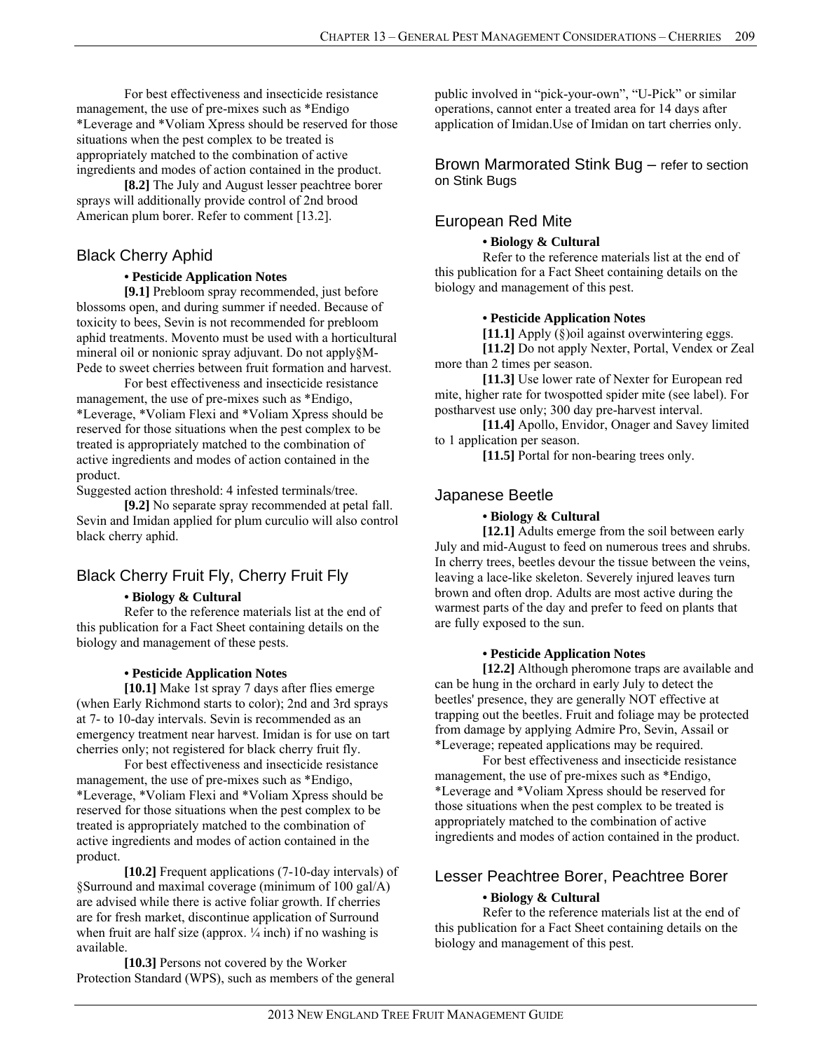For best effectiveness and insecticide resistance management, the use of pre-mixes such as \*Endigo \*Leverage and \*Voliam Xpress should be reserved for those situations when the pest complex to be treated is appropriately matched to the combination of active ingredients and modes of action contained in the product.

**[8.2]** The July and August lesser peachtree borer sprays will additionally provide control of 2nd brood American plum borer. Refer to comment [13.2].

## Black Cherry Aphid

#### **• Pesticide Application Notes**

**[9.1]** Prebloom spray recommended, just before blossoms open, and during summer if needed. Because of toxicity to bees, Sevin is not recommended for prebloom aphid treatments. Movento must be used with a horticultural mineral oil or nonionic spray adjuvant. Do not apply§M-Pede to sweet cherries between fruit formation and harvest.

For best effectiveness and insecticide resistance management, the use of pre-mixes such as \*Endigo, \*Leverage, \*Voliam Flexi and \*Voliam Xpress should be reserved for those situations when the pest complex to be treated is appropriately matched to the combination of active ingredients and modes of action contained in the product.

Suggested action threshold: 4 infested terminals/tree.

**[9.2]** No separate spray recommended at petal fall. Sevin and Imidan applied for plum curculio will also control black cherry aphid.

## Black Cherry Fruit Fly, Cherry Fruit Fly

#### **• Biology & Cultural**

Refer to the reference materials list at the end of this publication for a Fact Sheet containing details on the biology and management of these pests.

#### **• Pesticide Application Notes**

**[10.1]** Make 1st spray 7 days after flies emerge (when Early Richmond starts to color); 2nd and 3rd sprays at 7- to 10-day intervals. Sevin is recommended as an emergency treatment near harvest. Imidan is for use on tart cherries only; not registered for black cherry fruit fly.

For best effectiveness and insecticide resistance management, the use of pre-mixes such as \*Endigo, \*Leverage, \*Voliam Flexi and \*Voliam Xpress should be reserved for those situations when the pest complex to be treated is appropriately matched to the combination of active ingredients and modes of action contained in the product.

**[10.2]** Frequent applications (7-10-day intervals) of §Surround and maximal coverage (minimum of 100 gal/A) are advised while there is active foliar growth. If cherries are for fresh market, discontinue application of Surround when fruit are half size (approx.  $\frac{1}{4}$  inch) if no washing is available.

**[10.3]** Persons not covered by the Worker Protection Standard (WPS), such as members of the general

public involved in "pick-your-own", "U-Pick" or similar operations, cannot enter a treated area for 14 days after application of Imidan.Use of Imidan on tart cherries only.

Brown Marmorated Stink Bug – refer to section on Stink Bugs

## European Red Mite

#### **• Biology & Cultural**

Refer to the reference materials list at the end of this publication for a Fact Sheet containing details on the biology and management of this pest.

#### **• Pesticide Application Notes**

**[11.1]** Apply (§)oil against overwintering eggs.

**[11.2]** Do not apply Nexter, Portal, Vendex or Zeal more than 2 times per season.

**[11.3]** Use lower rate of Nexter for European red mite, higher rate for twospotted spider mite (see label). For postharvest use only; 300 day pre-harvest interval.

**[11.4]** Apollo, Envidor, Onager and Savey limited to 1 application per season.

[11.5] Portal for non-bearing trees only.

## Japanese Beetle

#### **• Biology & Cultural**

**[12.1]** Adults emerge from the soil between early July and mid-August to feed on numerous trees and shrubs. In cherry trees, beetles devour the tissue between the veins, leaving a lace-like skeleton. Severely injured leaves turn brown and often drop. Adults are most active during the warmest parts of the day and prefer to feed on plants that are fully exposed to the sun.

#### **• Pesticide Application Notes**

 **[12.2]** Although pheromone traps are available and can be hung in the orchard in early July to detect the beetles' presence, they are generally NOT effective at trapping out the beetles. Fruit and foliage may be protected from damage by applying Admire Pro, Sevin, Assail or \*Leverage; repeated applications may be required.

For best effectiveness and insecticide resistance management, the use of pre-mixes such as \*Endigo, \*Leverage and \*Voliam Xpress should be reserved for those situations when the pest complex to be treated is appropriately matched to the combination of active ingredients and modes of action contained in the product.

## Lesser Peachtree Borer, Peachtree Borer

## **• Biology & Cultural**

 Refer to the reference materials list at the end of this publication for a Fact Sheet containing details on the biology and management of this pest.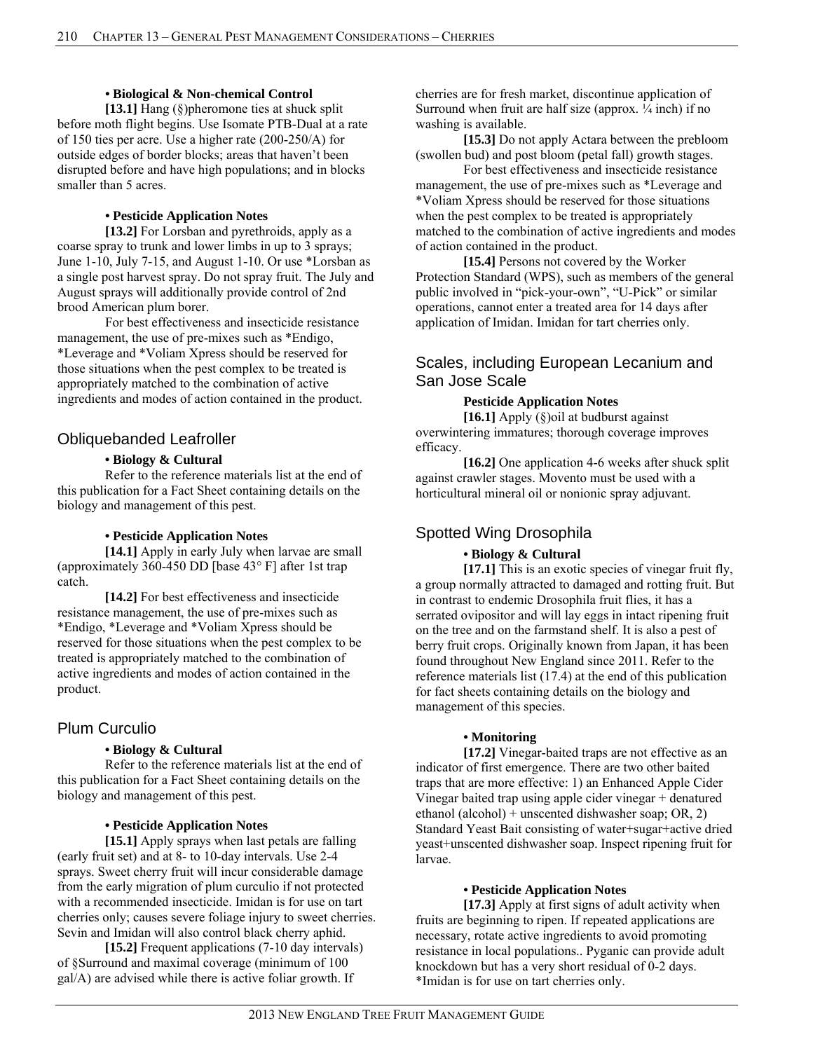#### **• Biological & Non-chemical Control**

**[13.1]** Hang (§)pheromone ties at shuck split before moth flight begins. Use Isomate PTB-Dual at a rate of 150 ties per acre. Use a higher rate (200-250/A) for outside edges of border blocks; areas that haven't been disrupted before and have high populations; and in blocks smaller than 5 acres.

#### **• Pesticide Application Notes**

**[13.2]** For Lorsban and pyrethroids, apply as a coarse spray to trunk and lower limbs in up to 3 sprays; June 1-10, July 7-15, and August 1-10. Or use \*Lorsban as a single post harvest spray. Do not spray fruit. The July and August sprays will additionally provide control of 2nd brood American plum borer.

For best effectiveness and insecticide resistance management, the use of pre-mixes such as \*Endigo, \*Leverage and \*Voliam Xpress should be reserved for those situations when the pest complex to be treated is appropriately matched to the combination of active ingredients and modes of action contained in the product.

#### Obliquebanded Leafroller

#### **• Biology & Cultural**

Refer to the reference materials list at the end of this publication for a Fact Sheet containing details on the biology and management of this pest.

#### **• Pesticide Application Notes**

**[14.1]** Apply in early July when larvae are small (approximately 360-450 DD [base 43° F] after 1st trap catch.

**[14.2]** For best effectiveness and insecticide resistance management, the use of pre-mixes such as \*Endigo, \*Leverage and \*Voliam Xpress should be reserved for those situations when the pest complex to be treated is appropriately matched to the combination of active ingredients and modes of action contained in the product.

## Plum Curculio

#### **• Biology & Cultural**

Refer to the reference materials list at the end of this publication for a Fact Sheet containing details on the biology and management of this pest.

#### **• Pesticide Application Notes**

**[15.1]** Apply sprays when last petals are falling (early fruit set) and at 8- to 10-day intervals. Use 2-4 sprays. Sweet cherry fruit will incur considerable damage from the early migration of plum curculio if not protected with a recommended insecticide. Imidan is for use on tart cherries only; causes severe foliage injury to sweet cherries. Sevin and Imidan will also control black cherry aphid.

**[15.2]** Frequent applications (7-10 day intervals) of §Surround and maximal coverage (minimum of 100 gal/A) are advised while there is active foliar growth. If

cherries are for fresh market, discontinue application of Surround when fruit are half size (approx.  $\frac{1}{4}$  inch) if no washing is available.

**[15.3]** Do not apply Actara between the prebloom (swollen bud) and post bloom (petal fall) growth stages.

For best effectiveness and insecticide resistance management, the use of pre-mixes such as \*Leverage and \*Voliam Xpress should be reserved for those situations when the pest complex to be treated is appropriately matched to the combination of active ingredients and modes of action contained in the product.

**[15.4]** Persons not covered by the Worker Protection Standard (WPS), such as members of the general public involved in "pick-your-own", "U-Pick" or similar operations, cannot enter a treated area for 14 days after application of Imidan. Imidan for tart cherries only.

## Scales, including European Lecanium and San Jose Scale

## **Pesticide Application Notes**

 **[16.1]** Apply (§)oil at budburst against overwintering immatures; thorough coverage improves efficacy.

**[16.2]** One application 4-6 weeks after shuck split against crawler stages. Movento must be used with a horticultural mineral oil or nonionic spray adjuvant.

## Spotted Wing Drosophila

#### **• Biology & Cultural**

**[17.1]** This is an exotic species of vinegar fruit fly, a group normally attracted to damaged and rotting fruit. But in contrast to endemic Drosophila fruit flies, it has a serrated ovipositor and will lay eggs in intact ripening fruit on the tree and on the farmstand shelf. It is also a pest of berry fruit crops. Originally known from Japan, it has been found throughout New England since 2011. Refer to the reference materials list (17.4) at the end of this publication for fact sheets containing details on the biology and management of this species.

#### **• Monitoring**

**[17.2]** Vinegar-baited traps are not effective as an indicator of first emergence. There are two other baited traps that are more effective: 1) an Enhanced Apple Cider Vinegar baited trap using apple cider vinegar + denatured ethanol (alcohol) + unscented dishwasher soap; OR, 2) Standard Yeast Bait consisting of water+sugar+active dried yeast+unscented dishwasher soap. Inspect ripening fruit for larvae.

#### **• Pesticide Application Notes**

**[17.3]** Apply at first signs of adult activity when fruits are beginning to ripen. If repeated applications are necessary, rotate active ingredients to avoid promoting resistance in local populations.. Pyganic can provide adult knockdown but has a very short residual of 0-2 days. \*Imidan is for use on tart cherries only.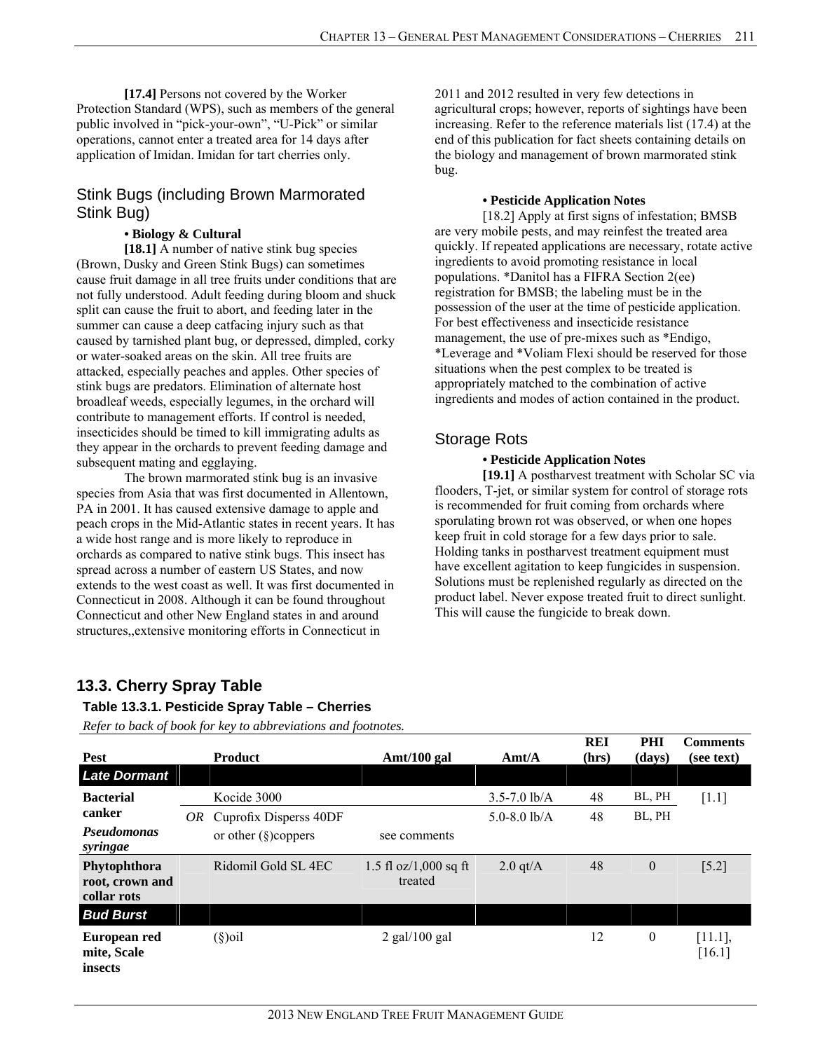**[17.4]** Persons not covered by the Worker Protection Standard (WPS), such as members of the general public involved in "pick-your-own", "U-Pick" or similar operations, cannot enter a treated area for 14 days after application of Imidan. Imidan for tart cherries only.

## Stink Bugs (including Brown Marmorated Stink Bug)

#### **• Biology & Cultural**

**[18.1]** A number of native stink bug species (Brown, Dusky and Green Stink Bugs) can sometimes cause fruit damage in all tree fruits under conditions that are not fully understood. Adult feeding during bloom and shuck split can cause the fruit to abort, and feeding later in the summer can cause a deep catfacing injury such as that caused by tarnished plant bug, or depressed, dimpled, corky or water-soaked areas on the skin. All tree fruits are attacked, especially peaches and apples. Other species of stink bugs are predators. Elimination of alternate host broadleaf weeds, especially legumes, in the orchard will contribute to management efforts. If control is needed, insecticides should be timed to kill immigrating adults as they appear in the orchards to prevent feeding damage and subsequent mating and egglaying.

 The brown marmorated stink bug is an invasive species from Asia that was first documented in Allentown, PA in 2001. It has caused extensive damage to apple and peach crops in the Mid-Atlantic states in recent years. It has a wide host range and is more likely to reproduce in orchards as compared to native stink bugs. This insect has spread across a number of eastern US States, and now extends to the west coast as well. It was first documented in Connecticut in 2008. Although it can be found throughout Connecticut and other New England states in and around structures,,extensive monitoring efforts in Connecticut in

2011 and 2012 resulted in very few detections in agricultural crops; however, reports of sightings have been increasing. Refer to the reference materials list (17.4) at the end of this publication for fact sheets containing details on the biology and management of brown marmorated stink bug.

#### **• Pesticide Application Notes**

 [18.2] Apply at first signs of infestation; BMSB are very mobile pests, and may reinfest the treated area quickly. If repeated applications are necessary, rotate active ingredients to avoid promoting resistance in local populations. \*Danitol has a FIFRA Section 2(ee) registration for BMSB; the labeling must be in the possession of the user at the time of pesticide application. For best effectiveness and insecticide resistance management, the use of pre-mixes such as \*Endigo, \*Leverage and \*Voliam Flexi should be reserved for those situations when the pest complex to be treated is appropriately matched to the combination of active ingredients and modes of action contained in the product.

## Storage Rots

## **• Pesticide Application Notes**

**[19.1]** A postharvest treatment with Scholar SC via flooders, T-jet, or similar system for control of storage rots is recommended for fruit coming from orchards where sporulating brown rot was observed, or when one hopes keep fruit in cold storage for a few days prior to sale. Holding tanks in postharvest treatment equipment must have excellent agitation to keep fungicides in suspension. Solutions must be replenished regularly as directed on the product label. Never expose treated fruit to direct sunlight. This will cause the fungicide to break down.

## **13.3. Cherry Spray Table**

## **Table 13.3.1. Pesticide Spray Table – Cherries**

| <b>Pest</b>                                    |    | <b>Product</b>          | Amt/100 gal                        | $\text{A}$ mt/A  | <b>REI</b><br>(hrs) | PHI<br>(days)    | <b>Comments</b><br>(see text) |
|------------------------------------------------|----|-------------------------|------------------------------------|------------------|---------------------|------------------|-------------------------------|
| <b>Late Dormant</b>                            |    |                         |                                    |                  |                     |                  |                               |
| <b>Bacterial</b>                               |    | Kocide 3000             |                                    | $3.5 - 7.0$ lb/A | 48                  | BL, PH           | $[1.1]$                       |
| canker                                         | OR | Cuprofix Disperss 40DF  |                                    | $5.0 - 8.0$ lb/A | 48                  | BL, PH           |                               |
| <b>Pseudomonas</b><br>syringae                 |    | or other $(\S)$ coppers | see comments                       |                  |                     |                  |                               |
| Phytophthora<br>root, crown and<br>collar rots |    | Ridomil Gold SL 4EC     | 1.5 fl $oz/1,000$ sq ft<br>treated | $2.0$ qt/A       | 48                  | $\boldsymbol{0}$ | $[5.2]$                       |
| <b>Bud Burst</b>                               |    |                         |                                    |                  |                     |                  |                               |
| European red<br>mite, Scale<br>insects         |    | $(\S)$ oil              | $2$ gal/100 gal                    |                  | 12                  | $\boldsymbol{0}$ | $[11.1]$ ,<br>[16.1]          |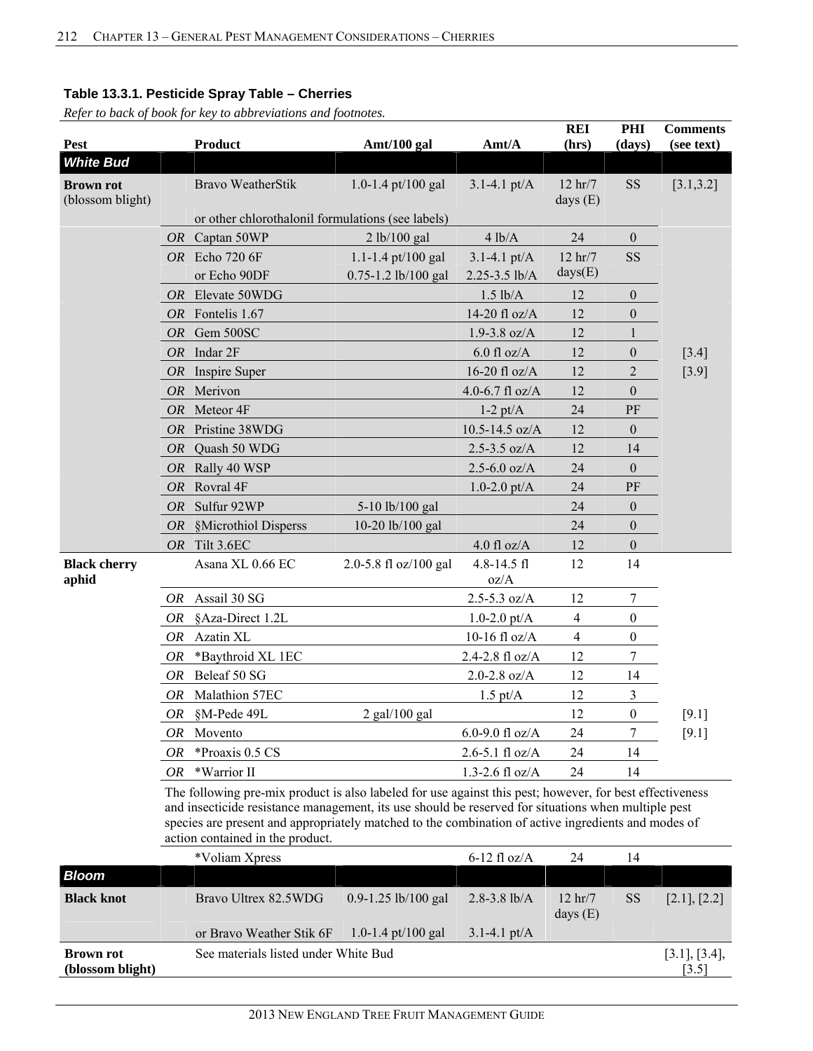**(blossom blight)** 

*Refer to back of book for key to abbreviations and footnotes.*

|                                      |           |                                                                                                                                                                                                                                                                                                                                                            |                       |                          | <b>REI</b>                        | PHI              | <b>Comments</b> |
|--------------------------------------|-----------|------------------------------------------------------------------------------------------------------------------------------------------------------------------------------------------------------------------------------------------------------------------------------------------------------------------------------------------------------------|-----------------------|--------------------------|-----------------------------------|------------------|-----------------|
| <b>Pest</b>                          |           | <b>Product</b>                                                                                                                                                                                                                                                                                                                                             | Amt/100 gal           | Amt/A                    | (hrs)                             | (days)           | (see text)      |
| <b>White Bud</b>                     |           |                                                                                                                                                                                                                                                                                                                                                            |                       |                          |                                   |                  |                 |
| <b>Brown rot</b><br>(blossom blight) |           | <b>Bravo WeatherStik</b>                                                                                                                                                                                                                                                                                                                                   | 1.0-1.4 pt/100 gal    | $3.1 - 4.1 \text{ pt/A}$ | 12 hr/7<br>days $(E)$             | <b>SS</b>        | [3.1, 3.2]      |
|                                      |           | or other chlorothalonil formulations (see labels)                                                                                                                                                                                                                                                                                                          |                       |                          |                                   |                  |                 |
|                                      |           | OR Captan 50WP                                                                                                                                                                                                                                                                                                                                             | 2 lb/100 gal          | 4 lb/A                   | 24                                | $\mathbf{0}$     |                 |
|                                      |           | OR Echo 720 6F                                                                                                                                                                                                                                                                                                                                             | 1.1-1.4 pt/100 gal    | $3.1 - 4.1 \text{ pt/A}$ | $12$ hr/7                         | SS               |                 |
|                                      |           | or Echo 90DF                                                                                                                                                                                                                                                                                                                                               | 0.75-1.2 lb/100 gal   | 2.25-3.5 lb/A            | days(E)                           |                  |                 |
|                                      | <i>OR</i> | Elevate 50WDG                                                                                                                                                                                                                                                                                                                                              |                       | $1.5$ lb/A               | 12                                | $\mathbf{0}$     |                 |
|                                      |           | OR Fontelis 1.67                                                                                                                                                                                                                                                                                                                                           |                       | 14-20 fl oz/A            | 12                                | $\boldsymbol{0}$ |                 |
|                                      | <i>OR</i> | Gem 500SC                                                                                                                                                                                                                                                                                                                                                  |                       | $1.9 - 3.8$ oz/A         | 12                                | 1                |                 |
|                                      |           | $OR$ Indar $2F$                                                                                                                                                                                                                                                                                                                                            |                       | $6.0$ fl oz/A            | 12                                | $\mathbf{0}$     | $[3.4]$         |
|                                      | <i>OR</i> | Inspire Super                                                                                                                                                                                                                                                                                                                                              |                       | 16-20 fl oz/A            | 12                                | $\sqrt{2}$       | $[3.9]$         |
|                                      | <b>OR</b> | Merivon                                                                                                                                                                                                                                                                                                                                                    |                       | 4.0-6.7 fl $oz/A$        | 12                                | $\mathbf{0}$     |                 |
|                                      | <i>OR</i> | Meteor <sub>4F</sub>                                                                                                                                                                                                                                                                                                                                       |                       | $1-2$ pt/ $A$            | 24                                | PF               |                 |
|                                      | <i>OR</i> | Pristine 38WDG                                                                                                                                                                                                                                                                                                                                             |                       | $10.5 - 14.5$ oz/A       | 12                                | $\mathbf{0}$     |                 |
|                                      |           | OR Quash 50 WDG                                                                                                                                                                                                                                                                                                                                            |                       | $2.5 - 3.5$ oz/A         | 12                                | 14               |                 |
|                                      | <i>OR</i> | Rally 40 WSP                                                                                                                                                                                                                                                                                                                                               |                       | $2.5 - 6.0$ oz/A         | 24                                | $\mathbf{0}$     |                 |
|                                      | <i>OR</i> | Rovral 4F                                                                                                                                                                                                                                                                                                                                                  |                       | $1.0 - 2.0$ pt/A         | 24                                | PF               |                 |
|                                      | <i>OR</i> | Sulfur 92WP                                                                                                                                                                                                                                                                                                                                                | 5-10 lb/100 gal       |                          | 24                                | $\mathbf{0}$     |                 |
|                                      | <i>OR</i> | §Microthiol Disperss                                                                                                                                                                                                                                                                                                                                       | 10-20 lb/100 gal      |                          | 24                                | $\mathbf{0}$     |                 |
|                                      | <i>OR</i> | Tilt 3.6EC                                                                                                                                                                                                                                                                                                                                                 |                       | $4.0$ fl oz/A            | 12                                | $\mathbf{0}$     |                 |
| <b>Black cherry</b><br>aphid         |           | Asana XL 0.66 EC                                                                                                                                                                                                                                                                                                                                           | 2.0-5.8 fl oz/100 gal | 4.8-14.5 fl<br>oz/A      | 12                                | 14               |                 |
|                                      | OR        | Assail 30 SG                                                                                                                                                                                                                                                                                                                                               |                       | $2.5 - 5.3$ oz/A         | 12                                | 7                |                 |
|                                      | <i>OR</i> | §Aza-Direct 1.2L                                                                                                                                                                                                                                                                                                                                           |                       | $1.0 - 2.0$ pt/A         | 4                                 | $\boldsymbol{0}$ |                 |
|                                      | <b>OR</b> | Azatin XL                                                                                                                                                                                                                                                                                                                                                  |                       | 10-16 fl $oz/A$          | $\overline{4}$                    | $\boldsymbol{0}$ |                 |
|                                      | OR        | *Baythroid XL 1EC                                                                                                                                                                                                                                                                                                                                          |                       | 2.4-2.8 fl oz/A          | 12                                | 7                |                 |
|                                      | OR        | Beleaf 50 SG                                                                                                                                                                                                                                                                                                                                               |                       | $2.0 - 2.8$ oz/A         | 12                                | 14               |                 |
|                                      | <b>OR</b> | Malathion 57EC                                                                                                                                                                                                                                                                                                                                             |                       | $1.5$ pt/A               | 12                                | 3                |                 |
|                                      | OR        | §M-Pede 49L                                                                                                                                                                                                                                                                                                                                                | $2$ gal/100 gal       |                          | 12                                | $\boldsymbol{0}$ | [9.1]           |
|                                      |           | OR Movento                                                                                                                                                                                                                                                                                                                                                 |                       | 6.0-9.0 fl $oz/A$        | 24                                | 7                | [9.1]           |
|                                      | <i>OR</i> | *Proaxis 0.5 CS                                                                                                                                                                                                                                                                                                                                            |                       | $2.6 - 5.1$ fl oz/A      | 24                                | 14               |                 |
|                                      | <i>OR</i> | *Warrior II                                                                                                                                                                                                                                                                                                                                                |                       | $1.3 - 2.6$ fl oz/A      | 24                                | 14               |                 |
|                                      |           | The following pre-mix product is also labeled for use against this pest; however, for best effectiveness<br>and insecticide resistance management, its use should be reserved for situations when multiple pest<br>species are present and appropriately matched to the combination of active ingredients and modes of<br>action contained in the product. |                       |                          |                                   |                  |                 |
|                                      |           | *Voliam Xpress                                                                                                                                                                                                                                                                                                                                             |                       | $6-12$ fl oz/A           | 24                                | 14               |                 |
| <b>Bloom</b>                         |           |                                                                                                                                                                                                                                                                                                                                                            |                       |                          |                                   |                  |                 |
| <b>Black knot</b>                    |           | Bravo Ultrex 82.5WDG                                                                                                                                                                                                                                                                                                                                       | 0.9-1.25 lb/100 gal   | $2.8 - 3.8$ lb/A         | $12 \text{ hr} / 7$<br>days $(E)$ | <b>SS</b>        | [2.1], [2.2]    |
|                                      |           | or Bravo Weather Stik 6F                                                                                                                                                                                                                                                                                                                                   | 1.0-1.4 pt/100 gal    | $3.1 - 4.1$ pt/A         |                                   |                  |                 |
| <b>Brown rot</b>                     |           | See materials listed under White Bud                                                                                                                                                                                                                                                                                                                       |                       |                          |                                   |                  | [3.1], [3.4],   |

 $\left[3.5\right]$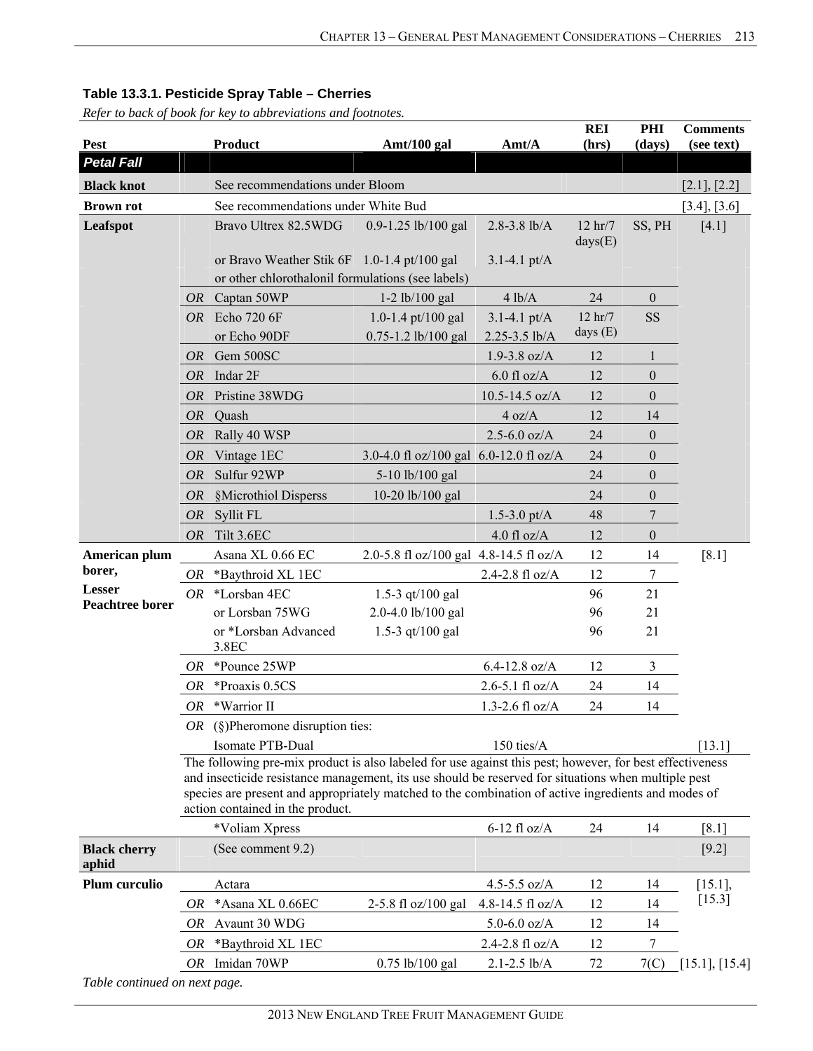|                               |           |                                                                                                                                                                                                                                                                                                                                                            |                                        |                          | <b>REI</b>          | PHI              | <b>Comments</b> |
|-------------------------------|-----------|------------------------------------------------------------------------------------------------------------------------------------------------------------------------------------------------------------------------------------------------------------------------------------------------------------------------------------------------------------|----------------------------------------|--------------------------|---------------------|------------------|-----------------|
| Pest                          |           | Product                                                                                                                                                                                                                                                                                                                                                    | Amt/100 gal                            | Amt/A                    | (hrs)               | (days)           | (see text)      |
| <b>Petal Fall</b>             |           |                                                                                                                                                                                                                                                                                                                                                            |                                        |                          |                     |                  |                 |
| <b>Black knot</b>             |           | See recommendations under Bloom                                                                                                                                                                                                                                                                                                                            |                                        |                          |                     |                  | [2.1], [2.2]    |
| <b>Brown rot</b>              |           | See recommendations under White Bud                                                                                                                                                                                                                                                                                                                        |                                        |                          |                     |                  | [3.4], [3.6]    |
| Leafspot                      |           | Bravo Ultrex 82.5WDG                                                                                                                                                                                                                                                                                                                                       | 0.9-1.25 lb/100 gal                    | $2.8 - 3.8$ lb/A         | 12 hr/7<br>days(E)  | SS, PH           | $[4.1]$         |
|                               |           | or Bravo Weather Stik 6F 1.0-1.4 pt/100 gal                                                                                                                                                                                                                                                                                                                |                                        | $3.1 - 4.1$ pt/A         |                     |                  |                 |
|                               |           | or other chlorothalonil formulations (see labels)                                                                                                                                                                                                                                                                                                          |                                        |                          |                     |                  |                 |
|                               |           | OR Captan 50WP                                                                                                                                                                                                                                                                                                                                             | $1-2$ lb/100 gal                       | 4 lb/A                   | 24                  | $\boldsymbol{0}$ |                 |
|                               |           | OR Echo 720 6F                                                                                                                                                                                                                                                                                                                                             | 1.0-1.4 pt/100 gal                     | $3.1 - 4.1 \text{ pt/A}$ | $12 \text{ hr} / 7$ | <b>SS</b>        |                 |
|                               |           | or Echo 90DF                                                                                                                                                                                                                                                                                                                                               | 0.75-1.2 lb/100 gal                    | 2.25-3.5 lb/A            | days $(E)$          |                  |                 |
|                               | <i>OR</i> | Gem 500SC                                                                                                                                                                                                                                                                                                                                                  |                                        | $1.9 - 3.8$ oz/A         | 12                  | 1                |                 |
|                               | OR        | Indar 2F                                                                                                                                                                                                                                                                                                                                                   |                                        | $6.0$ fl oz/A            | 12                  | $\boldsymbol{0}$ |                 |
|                               | <i>OR</i> | Pristine 38WDG                                                                                                                                                                                                                                                                                                                                             |                                        | 10.5-14.5 oz/A           | 12                  | $\theta$         |                 |
|                               | <i>OR</i> | Quash                                                                                                                                                                                                                                                                                                                                                      |                                        | 4 oz/A                   | 12                  | 14               |                 |
|                               | <i>OR</i> | Rally 40 WSP                                                                                                                                                                                                                                                                                                                                               |                                        | $2.5 - 6.0$ oz/A         | 24                  | $\boldsymbol{0}$ |                 |
|                               | <i>OR</i> | Vintage 1EC                                                                                                                                                                                                                                                                                                                                                | 3.0-4.0 fl oz/100 gal 6.0-12.0 fl oz/A |                          | 24                  | $\boldsymbol{0}$ |                 |
|                               | <b>OR</b> | Sulfur 92WP                                                                                                                                                                                                                                                                                                                                                | 5-10 lb/100 gal                        |                          | 24                  | $\boldsymbol{0}$ |                 |
|                               | <i>OR</i> | §Microthiol Disperss                                                                                                                                                                                                                                                                                                                                       | 10-20 lb/100 gal                       |                          | 24                  | $\boldsymbol{0}$ |                 |
|                               | <b>OR</b> | Syllit FL                                                                                                                                                                                                                                                                                                                                                  |                                        | $1.5 - 3.0$ pt/A         | 48                  | 7                |                 |
|                               | <i>OR</i> | Tilt 3.6EC                                                                                                                                                                                                                                                                                                                                                 |                                        | $4.0$ fl oz/A            | 12                  | $\boldsymbol{0}$ |                 |
| American plum                 |           | Asana XL 0.66 EC                                                                                                                                                                                                                                                                                                                                           | 2.0-5.8 fl oz/100 gal 4.8-14.5 fl oz/A |                          | 12                  | 14               | $[8.1]$         |
| borer,                        | OR        | *Baythroid XL 1EC                                                                                                                                                                                                                                                                                                                                          |                                        | 2.4-2.8 fl oz/A          | 12                  | 7                |                 |
| <b>Lesser</b>                 | OR        | *Lorsban 4EC                                                                                                                                                                                                                                                                                                                                               | 1.5-3 qt/100 gal                       |                          | 96                  | 21               |                 |
| Peachtree borer               |           | or Lorsban 75WG                                                                                                                                                                                                                                                                                                                                            | 2.0-4.0 lb/100 gal                     |                          | 96                  | 21               |                 |
|                               |           | or *Lorsban Advanced<br>3.8EC                                                                                                                                                                                                                                                                                                                              | 1.5-3 $qt/100$ gal                     |                          | 96                  | 21               |                 |
|                               | <i>OR</i> | *Pounce 25WP                                                                                                                                                                                                                                                                                                                                               |                                        | $6.4 - 12.8$ oz/A        | 12                  | 3                |                 |
|                               | 0R        | *Proaxis 0.5CS                                                                                                                                                                                                                                                                                                                                             |                                        | $2.6 - 5.1$ fl oz/A      | 24                  | 14               |                 |
|                               | OR        | *Warrior II                                                                                                                                                                                                                                                                                                                                                |                                        | $1.3 - 2.6$ fl oz/A      | 24                  | 14               |                 |
|                               |           | OR $(\S)$ Pheromone disruption ties:                                                                                                                                                                                                                                                                                                                       |                                        |                          |                     |                  |                 |
|                               |           | Isomate PTB-Dual                                                                                                                                                                                                                                                                                                                                           |                                        | 150 ties/ $A$            |                     |                  | [13.1]          |
|                               |           | The following pre-mix product is also labeled for use against this pest; however, for best effectiveness<br>and insecticide resistance management, its use should be reserved for situations when multiple pest<br>species are present and appropriately matched to the combination of active ingredients and modes of<br>action contained in the product. |                                        |                          |                     |                  |                 |
|                               |           | *Voliam Xpress                                                                                                                                                                                                                                                                                                                                             |                                        | $6-12$ fl oz/A           | 24                  | 14               | [8.1]           |
| <b>Black cherry</b><br>aphid  |           | (See comment 9.2)                                                                                                                                                                                                                                                                                                                                          |                                        |                          |                     |                  | $[9.2]$         |
| Plum curculio                 |           | Actara                                                                                                                                                                                                                                                                                                                                                     |                                        | 4.5-5.5 $oz/A$           | 12                  | 14               | $[15.1]$ ,      |
|                               | OR        | *Asana XL 0.66EC                                                                                                                                                                                                                                                                                                                                           | 2-5.8 fl oz/100 gal                    | 4.8-14.5 fl $oz/A$       | 12                  | 14               | [15.3]          |
|                               | OR        | Avaunt 30 WDG                                                                                                                                                                                                                                                                                                                                              |                                        | $5.0 - 6.0$ oz/A         | 12                  | 14               |                 |
|                               | OR        | *Baythroid XL 1EC                                                                                                                                                                                                                                                                                                                                          |                                        | $2.4 - 2.8$ fl oz/A      | 12                  | 7                |                 |
|                               | OR        | Imidan 70WP                                                                                                                                                                                                                                                                                                                                                | $0.75$ lb/100 gal                      | $2.1 - 2.5$ lb/A         | 72                  | 7 <sub>C</sub>   | [15.1], [15.4]  |
| Table continued on next page. |           |                                                                                                                                                                                                                                                                                                                                                            |                                        |                          |                     |                  |                 |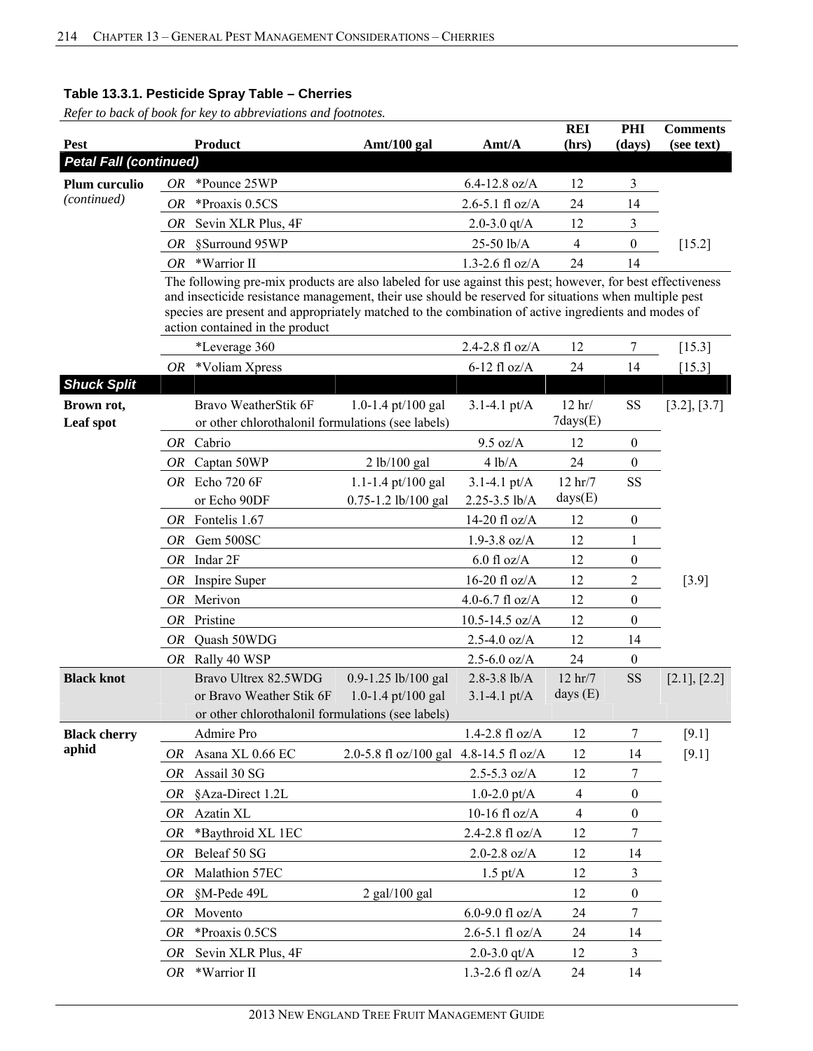| <b>Pest</b>                   |           | <b>Product</b>                                                                                                                                                                                                                                                                                                                                                | Amt/100 gal                            | Amt/A                   | <b>REI</b><br>(hrs)        | PHI<br>(days)    | <b>Comments</b><br>(see text) |
|-------------------------------|-----------|---------------------------------------------------------------------------------------------------------------------------------------------------------------------------------------------------------------------------------------------------------------------------------------------------------------------------------------------------------------|----------------------------------------|-------------------------|----------------------------|------------------|-------------------------------|
| <b>Petal Fall (continued)</b> |           |                                                                                                                                                                                                                                                                                                                                                               |                                        |                         |                            |                  |                               |
| Plum curculio                 | OR-       | *Pounce 25WP                                                                                                                                                                                                                                                                                                                                                  |                                        | $6.4 - 12.8$ oz/A       | 12                         | 3                |                               |
| (continued)                   | <i>OR</i> | *Proaxis 0.5CS                                                                                                                                                                                                                                                                                                                                                |                                        | $2.6 - 5.1$ fl oz/A     | 24                         | 14               |                               |
|                               | <i>OR</i> | Sevin XLR Plus, 4F                                                                                                                                                                                                                                                                                                                                            |                                        | 2.0-3.0 $qt/A$          | 12                         | 3                |                               |
|                               | OR        | §Surround 95WP                                                                                                                                                                                                                                                                                                                                                |                                        | 25-50 lb/A              | 4                          | $\boldsymbol{0}$ | $[15.2]$                      |
|                               | OR        | *Warrior II                                                                                                                                                                                                                                                                                                                                                   |                                        | 1.3-2.6 fl $oz/A$       | 24                         | 14               |                               |
|                               |           | The following pre-mix products are also labeled for use against this pest; however, for best effectiveness<br>and insecticide resistance management, their use should be reserved for situations when multiple pest<br>species are present and appropriately matched to the combination of active ingredients and modes of<br>action contained in the product |                                        |                         |                            |                  |                               |
|                               |           | *Leverage 360                                                                                                                                                                                                                                                                                                                                                 |                                        | 2.4-2.8 $fl$ oz/A       | 12                         | 7                | [15.3]                        |
|                               |           | $OR$ *Voliam Xpress                                                                                                                                                                                                                                                                                                                                           |                                        | $6-12$ fl oz/A          | 24                         | 14               | $[15.3]$                      |
| <b>Shuck Split</b>            |           |                                                                                                                                                                                                                                                                                                                                                               |                                        |                         |                            |                  |                               |
| Brown rot,<br>Leaf spot       |           | Bravo WeatherStik 6F<br>or other chlorothalonil formulations (see labels)                                                                                                                                                                                                                                                                                     | 1.0-1.4 pt/100 gal                     | $3.1 - 4.1$ pt/A        | $12$ hr/<br>$7$ days $(E)$ | SS               | [3.2], [3.7]                  |
|                               |           | OR Cabrio                                                                                                                                                                                                                                                                                                                                                     |                                        | 9.5 oz/A                | 12                         | $\boldsymbol{0}$ |                               |
|                               |           | OR Captan 50WP                                                                                                                                                                                                                                                                                                                                                | 2 lb/100 gal                           | 4 lb/A                  | 24                         | $\boldsymbol{0}$ |                               |
|                               |           | OR Echo 720 6F                                                                                                                                                                                                                                                                                                                                                | 1.1-1.4 pt/100 gal                     | $3.1 - 4.1$ pt/A        | 12 hr/7                    | <b>SS</b>        |                               |
|                               |           | or Echo 90DF                                                                                                                                                                                                                                                                                                                                                  | 0.75-1.2 lb/100 gal                    | 2.25-3.5 lb/A           | days(E)                    |                  |                               |
|                               |           | OR Fontelis 1.67                                                                                                                                                                                                                                                                                                                                              |                                        | 14-20 fl oz/A           | 12                         | $\boldsymbol{0}$ |                               |
|                               | <i>OR</i> | Gem 500SC                                                                                                                                                                                                                                                                                                                                                     |                                        | $1.9 - 3.8$ oz/A        | 12                         | 1                |                               |
|                               | <i>OR</i> | Indar 2F                                                                                                                                                                                                                                                                                                                                                      |                                        | $6.0$ fl oz/A           | 12                         | $\boldsymbol{0}$ |                               |
|                               | OR        | Inspire Super                                                                                                                                                                                                                                                                                                                                                 |                                        | $16-20$ fl oz/A         | 12                         | 2                | $[3.9]$                       |
|                               | OR        | Merivon                                                                                                                                                                                                                                                                                                                                                       |                                        | 4.0-6.7 fl $oz/A$       | 12                         | $\boldsymbol{0}$ |                               |
|                               | <b>OR</b> | Pristine                                                                                                                                                                                                                                                                                                                                                      |                                        | $10.5 - 14.5$ oz/A      | 12                         | $\boldsymbol{0}$ |                               |
|                               | 0R        | Quash 50WDG                                                                                                                                                                                                                                                                                                                                                   |                                        | $2.5 - 4.0$ oz/A        | 12                         | 14               |                               |
|                               | OR        | Rally 40 WSP                                                                                                                                                                                                                                                                                                                                                  |                                        | $2.5 - 6.0$ oz/A        | 24                         | $\boldsymbol{0}$ |                               |
| <b>Black knot</b>             |           | Bravo Ultrex 82.5WDG                                                                                                                                                                                                                                                                                                                                          | 0.9-1.25 lb/100 gal                    | $2.8 - 3.8$ lb/A        | $12$ hr/7                  | <b>SS</b>        | [2.1], [2.2]                  |
|                               |           | or Bravo Weather Stik 6F                                                                                                                                                                                                                                                                                                                                      | 1.0-1.4 pt/100 gal                     | $3.1 - 4.1$ pt/A        | days $(E)$                 |                  |                               |
|                               |           | or other chlorothalonil formulations (see labels)                                                                                                                                                                                                                                                                                                             |                                        |                         |                            |                  |                               |
| <b>Black cherry</b>           |           | Admire Pro                                                                                                                                                                                                                                                                                                                                                    |                                        | $1.4 - 2.8$ fl oz/A     | 12                         | 7                | $[9.1]$                       |
| aphid                         | OR        | Asana XL 0.66 EC                                                                                                                                                                                                                                                                                                                                              | 2.0-5.8 fl oz/100 gal 4.8-14.5 fl oz/A |                         | 12                         | 14               | $[9.1]$                       |
|                               | OR        | Assail 30 SG                                                                                                                                                                                                                                                                                                                                                  |                                        | $2.5 - 5.3$ oz/A        | 12                         | 7                |                               |
|                               | OR        | §Aza-Direct 1.2L                                                                                                                                                                                                                                                                                                                                              |                                        | $1.0 - 2.0$ pt/A        | 4                          | $\boldsymbol{0}$ |                               |
|                               | OR        | Azatin XL                                                                                                                                                                                                                                                                                                                                                     |                                        | 10-16 fl $oz/A$         | $\overline{4}$             | $\boldsymbol{0}$ |                               |
|                               | OR        | *Baythroid XL 1EC                                                                                                                                                                                                                                                                                                                                             |                                        | 2.4-2.8 fl oz/A         | 12                         | 7                |                               |
|                               | OR        | Beleaf 50 SG                                                                                                                                                                                                                                                                                                                                                  |                                        | $2.0 - 2.8$ oz/A        | 12                         | 14               |                               |
|                               | OR        | Malathion 57EC                                                                                                                                                                                                                                                                                                                                                |                                        | $1.5 \text{ pt/A}$      | 12                         | 3                |                               |
|                               | OR        | §M-Pede 49L                                                                                                                                                                                                                                                                                                                                                   | $2$ gal/100 gal                        |                         | 12                         | $\boldsymbol{0}$ |                               |
|                               | OR        | Movento                                                                                                                                                                                                                                                                                                                                                       |                                        | 6.0-9.0 fl oz/A         | 24                         | 7                |                               |
|                               | OR        | *Proaxis 0.5CS                                                                                                                                                                                                                                                                                                                                                |                                        | $2.6 - 5.1$ fl oz/A     | 24                         | 14               |                               |
|                               | OR        | Sevin XLR Plus, 4F                                                                                                                                                                                                                                                                                                                                            |                                        | 2.0-3.0 $qt/A$          | 12                         | 3                |                               |
|                               | OR        | *Warrior II                                                                                                                                                                                                                                                                                                                                                   |                                        | $1.3$ -2.6 fl oz/A $\,$ | 24                         | 14               |                               |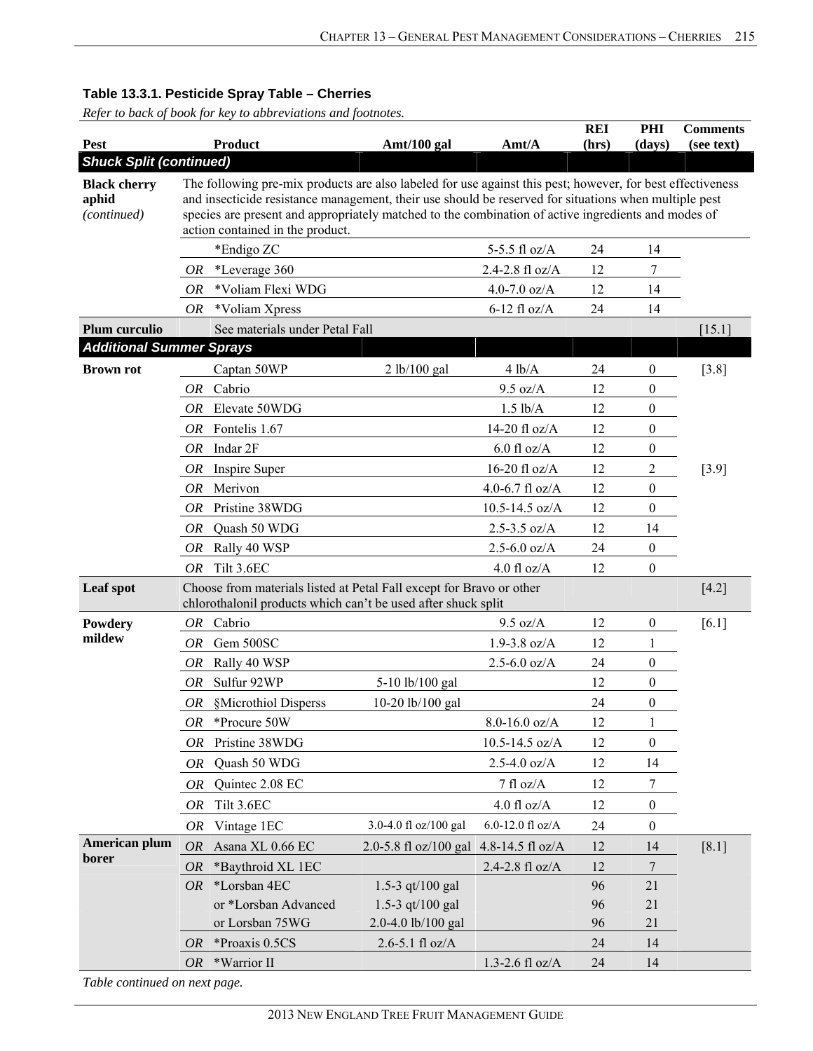*Refer to back of book for key to abbreviations and footnotes.*

| Pest                                             |           | <b>Product</b>                                                                                                                                                                                                                                                                                                                                                 | Amt/100 gal           | Amt/A               | <b>REI</b><br>(hrs) | PHI<br>(days)    | <b>Comments</b><br>(see text) |
|--------------------------------------------------|-----------|----------------------------------------------------------------------------------------------------------------------------------------------------------------------------------------------------------------------------------------------------------------------------------------------------------------------------------------------------------------|-----------------------|---------------------|---------------------|------------------|-------------------------------|
| <b>Shuck Split (continued)</b>                   |           |                                                                                                                                                                                                                                                                                                                                                                |                       |                     |                     |                  |                               |
| <b>Black cherry</b><br>aphid<br>(continued)      |           | The following pre-mix products are also labeled for use against this pest; however, for best effectiveness<br>and insecticide resistance management, their use should be reserved for situations when multiple pest<br>species are present and appropriately matched to the combination of active ingredients and modes of<br>action contained in the product. |                       |                     |                     |                  |                               |
|                                                  |           | *Endigo ZC                                                                                                                                                                                                                                                                                                                                                     |                       | 5-5.5 fl oz/A       | 24                  | 14               |                               |
|                                                  | <b>OR</b> | *Leverage 360                                                                                                                                                                                                                                                                                                                                                  |                       | 2.4-2.8 fl oz/A     | 12                  | 7                |                               |
|                                                  | OR.       | *Voliam Flexi WDG                                                                                                                                                                                                                                                                                                                                              |                       | 4.0-7.0 $oz/A$      | 12                  | 14               |                               |
|                                                  | OR        | *Voliam Xpress                                                                                                                                                                                                                                                                                                                                                 |                       | $6-12$ fl oz/A      | 24                  | 14               |                               |
| Plum curculio<br><b>Additional Summer Sprays</b> |           | See materials under Petal Fall                                                                                                                                                                                                                                                                                                                                 |                       |                     |                     |                  | [15.1]                        |
| <b>Brown rot</b>                                 |           | Captan 50WP                                                                                                                                                                                                                                                                                                                                                    | 2 lb/100 gal          | 4 lb/A              | 24                  | $\boldsymbol{0}$ | $[3.8]$                       |
|                                                  |           | OR Cabrio                                                                                                                                                                                                                                                                                                                                                      |                       | $9.5 \text{ oz/A}$  | 12                  | 0                |                               |
|                                                  |           | OR Elevate 50WDG                                                                                                                                                                                                                                                                                                                                               |                       | $1.5$ lb/A          | 12                  | $\boldsymbol{0}$ |                               |
|                                                  | OR        | Fontelis 1.67                                                                                                                                                                                                                                                                                                                                                  |                       | 14-20 fl $oz/A$     | 12                  | $\boldsymbol{0}$ |                               |
|                                                  |           | $OR$ Indar $2F$                                                                                                                                                                                                                                                                                                                                                |                       | $6.0$ fl oz/A       | 12                  | $\boldsymbol{0}$ |                               |
|                                                  | OR        | Inspire Super                                                                                                                                                                                                                                                                                                                                                  |                       | 16-20 fl $oz/A$     | 12                  | $\overline{c}$   | $[3.9]$                       |
|                                                  |           | OR Merivon                                                                                                                                                                                                                                                                                                                                                     |                       | 4.0-6.7 fl $oz/A$   | 12                  | $\boldsymbol{0}$ |                               |
|                                                  | OR.       | Pristine 38WDG                                                                                                                                                                                                                                                                                                                                                 |                       | $10.5 - 14.5$ oz/A  | 12                  | $\boldsymbol{0}$ |                               |
|                                                  |           | OR Quash 50 WDG                                                                                                                                                                                                                                                                                                                                                |                       | $2.5 - 3.5$ oz/A    | 12                  | 14               |                               |
|                                                  | OR        | Rally 40 WSP                                                                                                                                                                                                                                                                                                                                                   |                       | $2.5 - 6.0$ oz/A    | 24                  | $\boldsymbol{0}$ |                               |
|                                                  | <i>OR</i> | Tilt 3.6EC                                                                                                                                                                                                                                                                                                                                                     |                       | $4.0$ fl oz/A       | 12                  | $\theta$         |                               |
| Leaf spot                                        |           | Choose from materials listed at Petal Fall except for Bravo or other<br>chlorothalonil products which can't be used after shuck split                                                                                                                                                                                                                          |                       |                     |                     |                  | $[4.2]$                       |
| Powdery                                          |           | OR Cabrio                                                                                                                                                                                                                                                                                                                                                      |                       | 9.5 oz/A            | 12                  | $\boldsymbol{0}$ | [6.1]                         |
| mildew                                           | OR        | Gem 500SC                                                                                                                                                                                                                                                                                                                                                      |                       | $1.9 - 3.8$ oz/A    | 12                  | $\mathbf{1}$     |                               |
|                                                  | <b>OR</b> | Rally 40 WSP                                                                                                                                                                                                                                                                                                                                                   |                       | $2.5 - 6.0$ oz/A    | 24                  | $\theta$         |                               |
|                                                  | OR        | Sulfur 92WP                                                                                                                                                                                                                                                                                                                                                    | 5-10 lb/100 gal       |                     | 12                  | $\boldsymbol{0}$ |                               |
|                                                  |           | OR §Microthiol Disperss                                                                                                                                                                                                                                                                                                                                        | 10-20 lb/100 gal      |                     | 24                  | $\theta$         |                               |
|                                                  | <b>OR</b> | *Procure 50W                                                                                                                                                                                                                                                                                                                                                   |                       | $8.0 - 16.0$ oz/A   | 12                  | $\mathbf{1}$     |                               |
|                                                  | OR        | Pristine 38WDG                                                                                                                                                                                                                                                                                                                                                 |                       | 10.5-14.5 oz/A      | 12                  | $\boldsymbol{0}$ |                               |
|                                                  | OR        | Quash 50 WDG                                                                                                                                                                                                                                                                                                                                                   |                       | $2.5 - 4.0$ oz/A    | 12                  | 14               |                               |
|                                                  | OR        | Quintec 2.08 EC                                                                                                                                                                                                                                                                                                                                                |                       | $7$ fl oz/A         | 12                  | 7                |                               |
|                                                  | OR        | Tilt 3.6EC                                                                                                                                                                                                                                                                                                                                                     |                       | 4.0 fl $oz/A$       | 12                  | $\boldsymbol{0}$ |                               |
|                                                  | OR        | Vintage 1EC                                                                                                                                                                                                                                                                                                                                                    | 3.0-4.0 fl oz/100 gal | 6.0-12.0 fl oz/A    | 24                  | $\boldsymbol{0}$ |                               |
| American plum                                    | <i>OR</i> | Asana XL 0.66 EC                                                                                                                                                                                                                                                                                                                                               | 2.0-5.8 fl oz/100 gal | 4.8-14.5 fl oz/A    | 12                  | 14               | $[8.1]$                       |
| borer                                            | <i>OR</i> | *Baythroid XL 1EC                                                                                                                                                                                                                                                                                                                                              |                       | $2.4 - 2.8$ fl oz/A | 12                  | 7                |                               |
|                                                  | OR        | *Lorsban 4EC                                                                                                                                                                                                                                                                                                                                                   | 1.5-3 $qt/100$ gal    |                     | 96                  | 21               |                               |
|                                                  |           | or *Lorsban Advanced                                                                                                                                                                                                                                                                                                                                           | 1.5-3 $qt/100$ gal    |                     | 96                  | 21               |                               |
|                                                  |           | or Lorsban 75WG                                                                                                                                                                                                                                                                                                                                                | 2.0-4.0 lb/100 gal    |                     | 96                  | 21               |                               |
|                                                  | OR        | *Proaxis 0.5CS                                                                                                                                                                                                                                                                                                                                                 | $2.6 - 5.1$ fl oz/A   |                     | 24                  | 14               |                               |
|                                                  | OR        | *Warrior II                                                                                                                                                                                                                                                                                                                                                    |                       | $1.3 - 2.6$ fl oz/A | 24                  | 14               |                               |

*Table continued on next page.*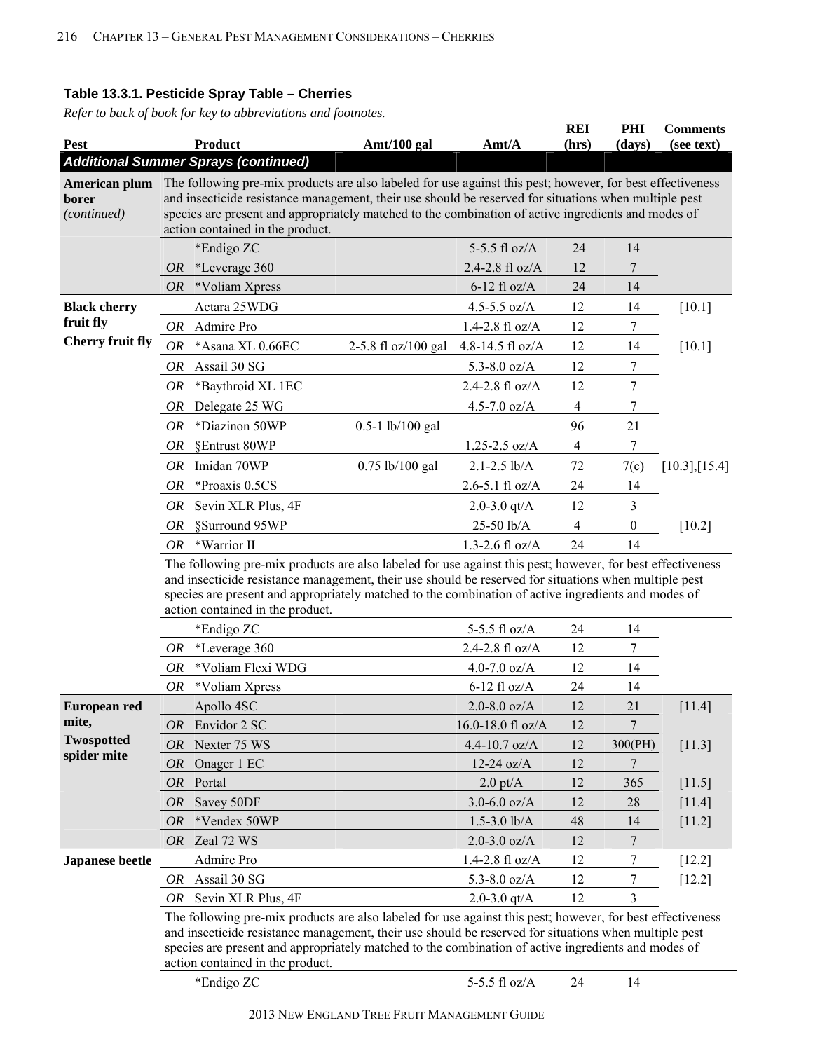| <b>Pest</b>                           | <b>Product</b>                                                                                                                                                                                                                                                                                                                                                 | Amt/100 gal         | Amt/A                       | <b>REI</b><br>(hrs) | PHI<br>(days)    | <b>Comments</b><br>(see text) |
|---------------------------------------|----------------------------------------------------------------------------------------------------------------------------------------------------------------------------------------------------------------------------------------------------------------------------------------------------------------------------------------------------------------|---------------------|-----------------------------|---------------------|------------------|-------------------------------|
|                                       | <b>Additional Summer Sprays (continued)</b>                                                                                                                                                                                                                                                                                                                    |                     |                             |                     |                  |                               |
| American plum<br>borer<br>(continued) | The following pre-mix products are also labeled for use against this pest; however, for best effectiveness<br>and insecticide resistance management, their use should be reserved for situations when multiple pest<br>species are present and appropriately matched to the combination of active ingredients and modes of<br>action contained in the product. |                     |                             |                     |                  |                               |
|                                       | *Endigo ZC                                                                                                                                                                                                                                                                                                                                                     |                     | 5-5.5 fl $oz/A$             | 24                  | 14               |                               |
|                                       | *Leverage 360<br><i>OR</i>                                                                                                                                                                                                                                                                                                                                     |                     | 2.4-2.8 fl oz/A             | 12                  | $\overline{7}$   |                               |
|                                       | *Voliam Xpress<br>OR                                                                                                                                                                                                                                                                                                                                           |                     | $6-12$ fl oz/A              | 24                  | 14               |                               |
| <b>Black cherry</b>                   | Actara 25WDG                                                                                                                                                                                                                                                                                                                                                   |                     | 4.5-5.5 $oz/A$              | 12                  | 14               | $[10.1]$                      |
| fruit fly                             | Admire Pro<br>OR                                                                                                                                                                                                                                                                                                                                               |                     | $1.4 - 2.8 \text{ fl oz/A}$ | 12                  | 7                |                               |
| <b>Cherry fruit fly</b>               | *Asana XL 0.66EC<br>OR                                                                                                                                                                                                                                                                                                                                         | 2-5.8 fl oz/100 gal | 4.8-14.5 fl oz/A            | 12                  | 14               | [10.1]                        |
|                                       | Assail 30 SG<br>OR                                                                                                                                                                                                                                                                                                                                             |                     | 5.3-8.0 $oz/A$              | 12                  | 7                |                               |
|                                       | *Baythroid XL 1EC<br>OR                                                                                                                                                                                                                                                                                                                                        |                     | 2.4-2.8 fl oz/A             | 12                  | 7                |                               |
|                                       | OR<br>Delegate 25 WG                                                                                                                                                                                                                                                                                                                                           |                     | 4.5-7.0 $oz/A$              | $\overline{4}$      | 7                |                               |
|                                       | *Diazinon 50WP<br>OR                                                                                                                                                                                                                                                                                                                                           | $0.5-1$ lb/100 gal  |                             | 96                  | 21               |                               |
|                                       | §Entrust 80WP<br>OR                                                                                                                                                                                                                                                                                                                                            |                     | $1.25 - 2.5$ oz/A           | $\overline{4}$      | 7                |                               |
|                                       | Imidan 70WP<br>OR                                                                                                                                                                                                                                                                                                                                              | 0.75 lb/100 gal     | $2.1 - 2.5$ lb/A            | 72                  | 7(c)             | $[10.3]$ , [15.4]             |
|                                       | <b>OR</b><br>*Proaxis 0.5CS                                                                                                                                                                                                                                                                                                                                    |                     | $2.6 - 5.1$ fl oz/A         | 24                  | 14               |                               |
|                                       | Sevin XLR Plus, 4F<br>OR                                                                                                                                                                                                                                                                                                                                       |                     | 2.0-3.0 $qt/A$              | 12                  | 3                |                               |
|                                       | §Surround 95WP<br>OR                                                                                                                                                                                                                                                                                                                                           |                     | 25-50 lb/A                  | $\overline{4}$      | $\boldsymbol{0}$ | $[10.2]$                      |
|                                       | *Warrior II<br>OR.                                                                                                                                                                                                                                                                                                                                             |                     | 1.3-2.6 fl $oz/A$           | 24                  | 14               |                               |
|                                       | and insecticide resistance management, their use should be reserved for situations when multiple pest<br>species are present and appropriately matched to the combination of active ingredients and modes of<br>action contained in the product.                                                                                                               |                     |                             |                     |                  |                               |
|                                       | *Endigo ZC                                                                                                                                                                                                                                                                                                                                                     |                     | 5-5.5 fl oz/A               | 24                  | 14               |                               |
|                                       | *Leverage 360<br>OR                                                                                                                                                                                                                                                                                                                                            |                     | 2.4-2.8 fl oz/A             | 12                  | $\overline{7}$   |                               |
|                                       | *Voliam Flexi WDG<br><i>OR</i>                                                                                                                                                                                                                                                                                                                                 |                     | 4.0-7.0 $oz/A$              | 12                  | 14               |                               |
|                                       | *Voliam Xpress<br>OR                                                                                                                                                                                                                                                                                                                                           |                     | $6-12$ fl oz/A              | 24                  | 14               |                               |
| <b>European red</b>                   | Apollo 4SC                                                                                                                                                                                                                                                                                                                                                     |                     | $2.0 - 8.0$ oz/A            | 12                  | 21               | [11.4]                        |
| mite,<br><b>Twospotted</b>            | Envidor 2 SC<br>OR                                                                                                                                                                                                                                                                                                                                             |                     | 16.0-18.0 fl oz/A           | 12                  | $\sqrt{ }$       |                               |
| spider mite                           | Nexter 75 WS<br>OR                                                                                                                                                                                                                                                                                                                                             |                     | 4.4-10.7 oz/A               | 12                  | 300(PH)          | $[11.3]$                      |
|                                       | <b>OR</b><br>Onager 1 EC                                                                                                                                                                                                                                                                                                                                       |                     | $12-24$ oz/A                | 12                  | 7                |                               |
|                                       | Portal<br><b>OR</b>                                                                                                                                                                                                                                                                                                                                            |                     | $2.0 \text{ pt/A}$          | 12                  | 365              | $[11.5]$                      |
|                                       | Savey 50DF<br><i>OR</i>                                                                                                                                                                                                                                                                                                                                        |                     | $3.0 - 6.0$ oz/A            | 12                  | 28               | $[11.4]$                      |
|                                       | *Vendex 50WP<br><i>OR</i>                                                                                                                                                                                                                                                                                                                                      |                     | $1.5 - 3.0$ lb/A            | 48                  | 14               | $[11.2]$                      |
|                                       | Zeal 72 WS<br>OR                                                                                                                                                                                                                                                                                                                                               |                     | $2.0 - 3.0$ oz/A            | 12                  | 7                |                               |
| <b>Japanese beetle</b>                | Admire Pro                                                                                                                                                                                                                                                                                                                                                     |                     | $1.4 - 2.8$ fl oz/A         | 12                  | 7                | $[12.2]$                      |
|                                       | Assail 30 SG<br>OR                                                                                                                                                                                                                                                                                                                                             |                     | 5.3-8.0 $oz/A$              | 12                  | 7                | [12.2]                        |
|                                       | Sevin XLR Plus, 4F<br>OR                                                                                                                                                                                                                                                                                                                                       |                     | 2.0-3.0 $qt/A$              | 12                  | 3                |                               |
|                                       | The following pre-mix products are also labeled for use against this pest; however, for best effectiveness<br>and insecticide resistance management, their use should be reserved for situations when multiple pest<br>species are present and appropriately matched to the combination of active ingredients and modes of<br>action contained in the product. |                     |                             |                     |                  |                               |
|                                       | *Endigo ZC                                                                                                                                                                                                                                                                                                                                                     |                     | 5-5.5 fl oz/A               | 24                  | 14               |                               |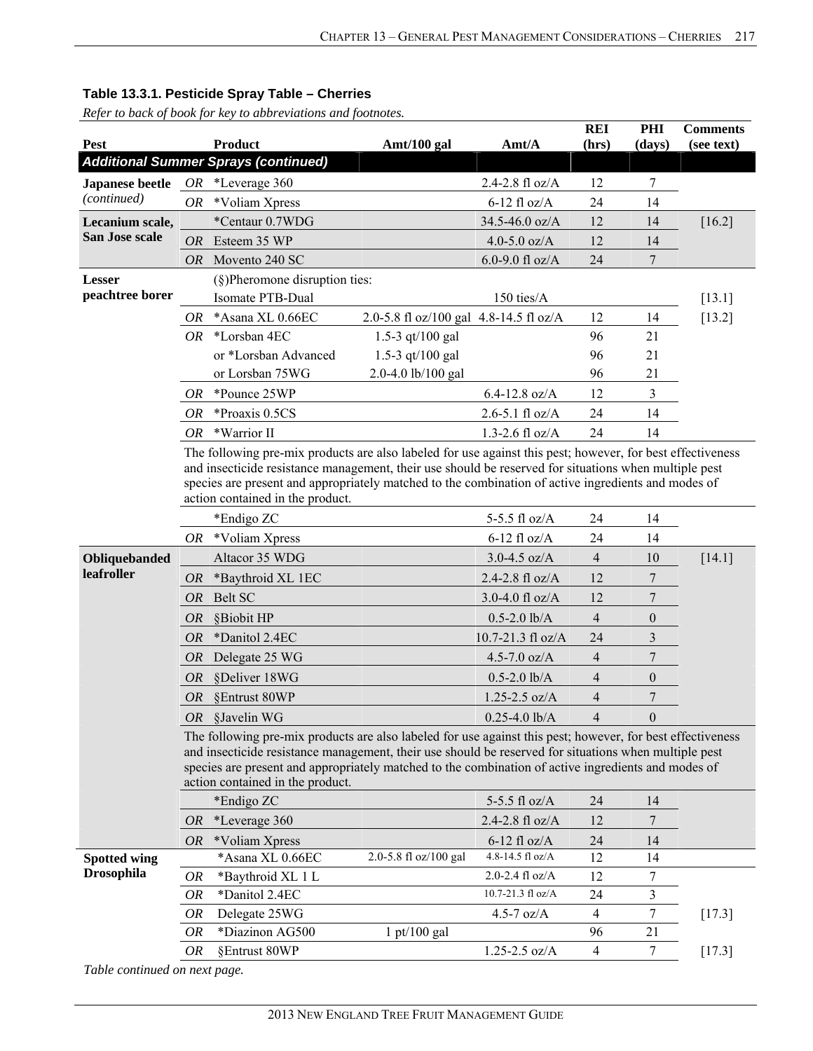*Refer to back of book for key to abbreviations and footnotes.*

|                                           |           |                                                                                                                                                                                                                                                                                                                                                                |                                        |                           | <b>REI</b>               | PHI              | <b>Comments</b> |
|-------------------------------------------|-----------|----------------------------------------------------------------------------------------------------------------------------------------------------------------------------------------------------------------------------------------------------------------------------------------------------------------------------------------------------------------|----------------------------------------|---------------------------|--------------------------|------------------|-----------------|
| Pest                                      |           | <b>Product</b>                                                                                                                                                                                                                                                                                                                                                 | Amt/100 gal                            | $\text{A}$ mt/ $\text{A}$ | (hrs)                    | (days)           | (see text)      |
|                                           |           | <b>Additional Summer Sprays (continued)</b>                                                                                                                                                                                                                                                                                                                    |                                        |                           |                          |                  |                 |
| <b>Japanese beetle</b> $OR$ *Leverage 360 |           |                                                                                                                                                                                                                                                                                                                                                                |                                        | 2.4-2.8 fl oz/A           | 12                       | 7                |                 |
| (continued)                               | OR —      | *Voliam Xpress                                                                                                                                                                                                                                                                                                                                                 |                                        | $6-12$ fl oz/A            | 24                       | 14               |                 |
| Lecanium scale,                           |           | *Centaur 0.7WDG                                                                                                                                                                                                                                                                                                                                                |                                        | 34.5-46.0 oz/A            | 12                       | 14               | [16.2]          |
| San Jose scale                            | <b>OR</b> | Esteem 35 WP                                                                                                                                                                                                                                                                                                                                                   |                                        | 4.0-5.0 $oz/A$            | 12                       | 14               |                 |
|                                           | <i>OR</i> | Movento 240 SC                                                                                                                                                                                                                                                                                                                                                 |                                        | 6.0-9.0 fl oz/A           | 24                       | 7                |                 |
| <b>Lesser</b>                             |           | $(\S)$ Pheromone disruption ties:                                                                                                                                                                                                                                                                                                                              |                                        |                           |                          |                  |                 |
| peachtree borer                           |           | Isomate PTB-Dual                                                                                                                                                                                                                                                                                                                                               |                                        | 150 ties/A                |                          |                  | [13.1]          |
|                                           | OR        | *Asana XL 0.66EC                                                                                                                                                                                                                                                                                                                                               | 2.0-5.8 fl oz/100 gal 4.8-14.5 fl oz/A |                           | 12                       | 14               | $[13.2]$        |
|                                           | ΟR        | *Lorsban 4EC                                                                                                                                                                                                                                                                                                                                                   | 1.5-3 qt/100 gal                       |                           | 96                       | 21               |                 |
|                                           |           | or *Lorsban Advanced                                                                                                                                                                                                                                                                                                                                           | 1.5-3 $qt/100$ gal                     |                           | 96                       | 21               |                 |
|                                           |           | or Lorsban 75WG                                                                                                                                                                                                                                                                                                                                                | 2.0-4.0 lb/100 gal                     |                           | 96                       | 21               |                 |
|                                           | OR.       | *Pounce 25WP                                                                                                                                                                                                                                                                                                                                                   |                                        | $6.4 - 12.8$ oz/A         | 12                       | 3                |                 |
|                                           | <i>OR</i> | *Proaxis 0.5CS                                                                                                                                                                                                                                                                                                                                                 |                                        | $2.6 - 5.1$ fl oz/A       | 24                       | 14               |                 |
|                                           | OR        | *Warrior II                                                                                                                                                                                                                                                                                                                                                    |                                        | 1.3-2.6 fl $oz/A$         | 24                       | 14               |                 |
|                                           |           | The following pre-mix products are also labeled for use against this pest; however, for best effectiveness<br>and insecticide resistance management, their use should be reserved for situations when multiple pest<br>species are present and appropriately matched to the combination of active ingredients and modes of<br>action contained in the product. |                                        |                           |                          |                  |                 |
|                                           |           | *Endigo ZC                                                                                                                                                                                                                                                                                                                                                     |                                        | 5-5.5 fl oz/A             | 24                       | 14               |                 |
|                                           | <i>OR</i> | *Voliam Xpress                                                                                                                                                                                                                                                                                                                                                 |                                        | $6-12$ fl oz/A            | 24                       | 14               |                 |
| Obliquebanded                             |           | Altacor 35 WDG                                                                                                                                                                                                                                                                                                                                                 |                                        | $3.0 - 4.5$ oz/A          | $\overline{4}$           | 10               | $[14.1]$        |
| leafroller                                | <i>OR</i> | *Baythroid XL 1EC                                                                                                                                                                                                                                                                                                                                              |                                        | 2.4-2.8 fl oz/A           | 12                       | 7                |                 |
|                                           | <i>OR</i> | Belt SC                                                                                                                                                                                                                                                                                                                                                        |                                        | 3.0-4.0 fl $oz/A$         | 12                       | 7                |                 |
|                                           | <i>OR</i> | §Biobit HP                                                                                                                                                                                                                                                                                                                                                     |                                        | $0.5 - 2.0$ lb/A          | $\overline{4}$           | $\boldsymbol{0}$ |                 |
|                                           | OR        | *Danitol 2.4EC                                                                                                                                                                                                                                                                                                                                                 |                                        | 10.7-21.3 fl oz/A         | 24                       | 3                |                 |
|                                           | <i>OR</i> | Delegate 25 WG                                                                                                                                                                                                                                                                                                                                                 |                                        | 4.5-7.0 $oz/A$            | $\overline{4}$           | 7                |                 |
|                                           | <i>OR</i> | §Deliver 18WG                                                                                                                                                                                                                                                                                                                                                  |                                        | $0.5 - 2.0$ lb/A          | $\overline{\mathcal{A}}$ | $\boldsymbol{0}$ |                 |
|                                           |           | OR §Entrust 80WP                                                                                                                                                                                                                                                                                                                                               |                                        | $1.25 - 2.5$ oz/A         | $\overline{4}$           | 7                |                 |
|                                           |           | $OR$ §Javelin WG                                                                                                                                                                                                                                                                                                                                               |                                        | $0.25 - 4.0$ lb/A         | $\overline{4}$           | $\boldsymbol{0}$ |                 |
|                                           |           | The following pre-mix products are also labeled for use against this pest; however, for best effectiveness<br>and insecticide resistance management, their use should be reserved for situations when multiple pest<br>species are present and appropriately matched to the combination of active ingredients and modes of<br>action contained in the product. |                                        |                           |                          |                  |                 |
|                                           |           | *Endigo ZC                                                                                                                                                                                                                                                                                                                                                     |                                        | 5-5.5 fl oz/A             | 24                       | 14               |                 |
|                                           | <i>OR</i> | *Leverage 360                                                                                                                                                                                                                                                                                                                                                  |                                        | $2.4 - 2.8$ fl oz/A       | 12                       | 7                |                 |
|                                           | <i>OR</i> | *Voliam Xpress                                                                                                                                                                                                                                                                                                                                                 |                                        | $6-12$ fl oz/A            | 24                       | 14               |                 |
| <b>Spotted wing</b>                       |           | *Asana XL 0.66EC                                                                                                                                                                                                                                                                                                                                               | 2.0-5.8 fl oz/100 gal                  | 4.8-14.5 fl oz/A          | 12                       | 14               |                 |
| <b>Drosophila</b>                         | <b>OR</b> | *Baythroid XL 1 L                                                                                                                                                                                                                                                                                                                                              |                                        | $2.0 - 2.4$ fl oz/A       | 12                       | 7                |                 |
|                                           | <b>OR</b> | *Danitol 2.4EC                                                                                                                                                                                                                                                                                                                                                 |                                        | 10.7-21.3 fl oz/A         | 24                       | 3                |                 |
|                                           | <b>OR</b> | Delegate 25WG                                                                                                                                                                                                                                                                                                                                                  |                                        | 4.5-7 $oz/A$              | $\overline{4}$           | $\overline{7}$   | $[17.3]$        |
|                                           | OR        | *Diazinon AG500                                                                                                                                                                                                                                                                                                                                                | $1$ pt/100 gal                         |                           | 96                       | 21               |                 |
|                                           | OR        | §Entrust 80WP                                                                                                                                                                                                                                                                                                                                                  |                                        | $1.25 - 2.5$ oz/A         | 4                        | 7                | $[17.3]$        |
|                                           |           |                                                                                                                                                                                                                                                                                                                                                                |                                        |                           |                          |                  |                 |

*Table continued on next page.*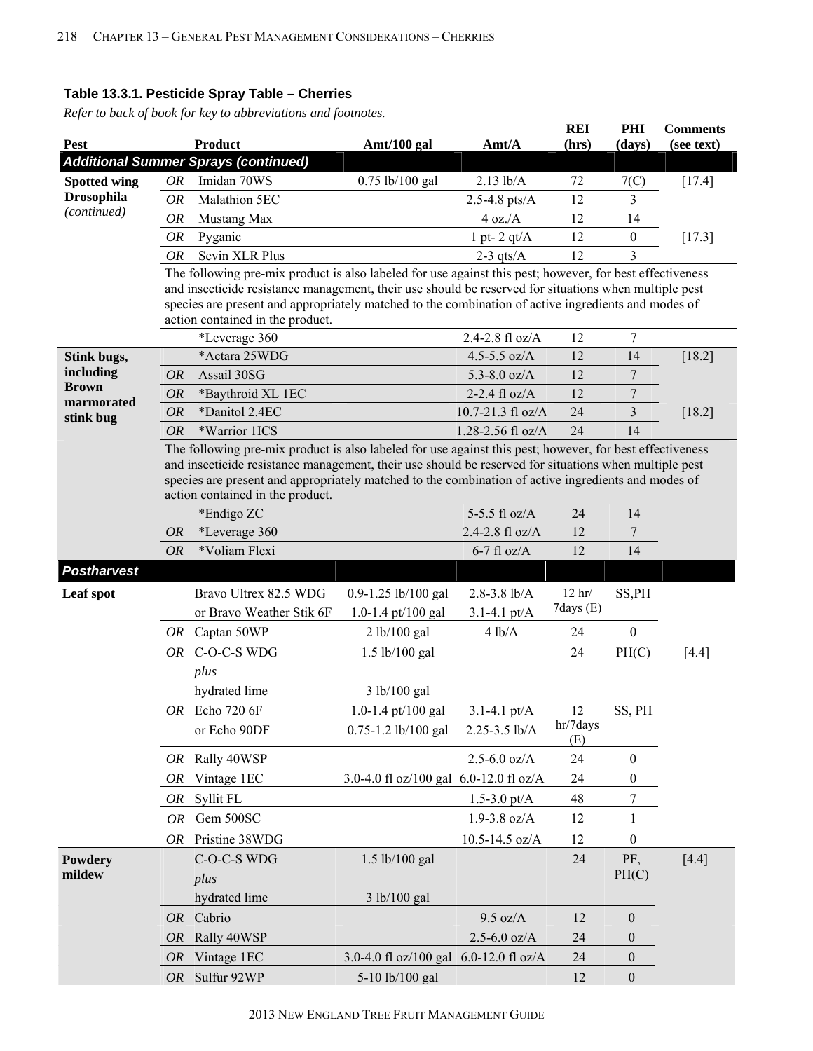| <b>Pest</b>              |                        | Product                                                                                                                                                                                                                                                                                                                                                      | Amt/100 gal                            | Amt/A                                | <b>REI</b><br>(hrs) | PHI<br>(days)    | <b>Comments</b><br>(see text) |
|--------------------------|------------------------|--------------------------------------------------------------------------------------------------------------------------------------------------------------------------------------------------------------------------------------------------------------------------------------------------------------------------------------------------------------|----------------------------------------|--------------------------------------|---------------------|------------------|-------------------------------|
|                          |                        | <b>Additional Summer Sprays (continued)</b>                                                                                                                                                                                                                                                                                                                  |                                        |                                      |                     |                  |                               |
| <b>Spotted wing</b>      | OR                     | Imidan 70WS                                                                                                                                                                                                                                                                                                                                                  | 0.75 lb/100 gal                        | $2.13$ lb/A                          | 72                  | 7(C)             | $[17.4]$                      |
| <b>Drosophila</b>        | <b>OR</b>              | Malathion 5EC                                                                                                                                                                                                                                                                                                                                                |                                        | $2.5 - 4.8$ pts/A                    | 12                  | 3                |                               |
| (continued)              | OR                     | Mustang Max                                                                                                                                                                                                                                                                                                                                                  |                                        | 4 oz.A                               | 12                  | 14               |                               |
|                          | OR                     | Pyganic                                                                                                                                                                                                                                                                                                                                                      |                                        | 1 pt- $2$ qt/ $A$                    | 12                  | $\boldsymbol{0}$ | $[17.3]$                      |
|                          | <b>OR</b>              | Sevin XLR Plus                                                                                                                                                                                                                                                                                                                                               |                                        | $2-3$ qts/A                          | 12                  | 3                |                               |
|                          |                        | The following pre-mix product is also labeled for use against this pest; however, for best effectiveness<br>and insecticide resistance management, their use should be reserved for situations when multiple pest<br>species are present and appropriately matched to the combination of active ingredients and modes of<br>action contained in the product. |                                        |                                      |                     |                  |                               |
|                          |                        | *Leverage 360                                                                                                                                                                                                                                                                                                                                                |                                        | 2.4-2.8 $fl$ oz/A                    | 12                  | $\overline{7}$   |                               |
| Stink bugs,<br>including |                        | *Actara 25WDG                                                                                                                                                                                                                                                                                                                                                |                                        | 4.5-5.5 $oz/A$                       | 12                  | 14               | $[18.2]$                      |
| <b>Brown</b>             | <i>OR</i>              | Assail 30SG                                                                                                                                                                                                                                                                                                                                                  |                                        | 5.3-8.0 $oz/A$                       | 12                  | 7                |                               |
| marmorated               | <i>OR</i>              | *Baythroid XL 1EC<br>*Danitol 2.4EC                                                                                                                                                                                                                                                                                                                          |                                        | $2-2.4$ fl oz/A<br>10.7-21.3 fl oz/A | 12                  | $\boldsymbol{7}$ |                               |
| stink bug                | <b>OR</b><br><b>OR</b> | *Warrior 1ICS                                                                                                                                                                                                                                                                                                                                                |                                        | 1.28-2.56 fl oz/A                    | 24<br>24            | 3<br>14          | $[18.2]$                      |
|                          |                        | The following pre-mix product is also labeled for use against this pest; however, for best effectiveness<br>and insecticide resistance management, their use should be reserved for situations when multiple pest<br>species are present and appropriately matched to the combination of active ingredients and modes of<br>action contained in the product. |                                        |                                      |                     |                  |                               |
|                          |                        | *Endigo ZC                                                                                                                                                                                                                                                                                                                                                   |                                        | 5-5.5 fl $oz/A$                      | 24                  | 14               |                               |
|                          | <i>OR</i>              | *Leverage 360                                                                                                                                                                                                                                                                                                                                                |                                        | 2.4-2.8 fl $oz/A$                    | 12                  | 7                |                               |
|                          | <b>OR</b>              | *Voliam Flexi                                                                                                                                                                                                                                                                                                                                                |                                        | $6-7$ fl oz/A                        | 12                  | 14               |                               |
| <b>Postharvest</b>       |                        |                                                                                                                                                                                                                                                                                                                                                              |                                        |                                      |                     |                  |                               |
| Leaf spot                |                        | Bravo Ultrex 82.5 WDG                                                                                                                                                                                                                                                                                                                                        | 0.9-1.25 lb/100 gal                    | $2.8 - 3.8$ lb/A                     | $12$ hr/            | SS, PH           |                               |
|                          |                        | or Bravo Weather Stik 6F                                                                                                                                                                                                                                                                                                                                     | 1.0-1.4 pt/100 gal                     | $3.1 - 4.1$ pt/A                     | 7days (E)           |                  |                               |
|                          |                        | OR Captan 50WP                                                                                                                                                                                                                                                                                                                                               | 2 lb/100 gal                           | 4 lb/A                               | 24                  | $\boldsymbol{0}$ |                               |
|                          |                        | OR C-O-C-S WDG                                                                                                                                                                                                                                                                                                                                               | $1.5$ lb/100 gal                       |                                      | 24                  | PH(C)            | $[4.4]$                       |
|                          |                        | plus                                                                                                                                                                                                                                                                                                                                                         |                                        |                                      |                     |                  |                               |
|                          |                        | hydrated lime                                                                                                                                                                                                                                                                                                                                                | 3 lb/100 gal                           |                                      |                     |                  |                               |
|                          |                        | OR Echo 720 6F                                                                                                                                                                                                                                                                                                                                               | 1.0-1.4 pt/100 gal                     | $3.1 - 4.1$ pt/A                     | 12                  | SS, PH           |                               |
|                          |                        | or Echo 90DF                                                                                                                                                                                                                                                                                                                                                 | 0.75-1.2 lb/100 gal                    | 2.25-3.5 lb/A                        | hr/7days<br>(E)     |                  |                               |
|                          | OR                     | Rally 40WSP                                                                                                                                                                                                                                                                                                                                                  |                                        | $2.5 - 6.0$ oz/A                     | 24                  | $\boldsymbol{0}$ |                               |
|                          | OR                     | Vintage 1EC                                                                                                                                                                                                                                                                                                                                                  | 3.0-4.0 fl oz/100 gal 6.0-12.0 fl oz/A |                                      | 24                  | $\boldsymbol{0}$ |                               |
|                          | OR                     | Syllit FL                                                                                                                                                                                                                                                                                                                                                    |                                        | 1.5-3.0 pt/ $A$                      | 48                  | 7                |                               |
|                          | <b>OR</b>              | Gem 500SC                                                                                                                                                                                                                                                                                                                                                    |                                        | $1.9 - 3.8$ oz/A                     | 12                  | 1                |                               |
|                          |                        | OR Pristine 38WDG                                                                                                                                                                                                                                                                                                                                            |                                        | 10.5-14.5 oz/A                       | 12                  | $\boldsymbol{0}$ |                               |
| Powdery<br>mildew        |                        | C-O-C-S WDG<br>plus                                                                                                                                                                                                                                                                                                                                          | 1.5 lb/100 gal                         |                                      | 24                  | PF,<br>PH(C)     | $[4.4]$                       |
|                          |                        | hydrated lime                                                                                                                                                                                                                                                                                                                                                | 3 lb/100 gal                           |                                      |                     |                  |                               |
|                          | <i>OR</i>              | Cabrio                                                                                                                                                                                                                                                                                                                                                       |                                        | 9.5 oz/A                             | 12                  | $\boldsymbol{0}$ |                               |
|                          | <i>OR</i>              | Rally 40WSP                                                                                                                                                                                                                                                                                                                                                  |                                        | $2.5 - 6.0$ oz/A                     | 24                  | $\overline{0}$   |                               |
|                          | <i>OR</i>              | Vintage 1EC                                                                                                                                                                                                                                                                                                                                                  | 3.0-4.0 fl oz/100 gal 6.0-12.0 fl oz/A |                                      | 24                  | $\boldsymbol{0}$ |                               |
|                          | <i>OR</i>              | Sulfur 92WP                                                                                                                                                                                                                                                                                                                                                  | 5-10 lb/100 gal                        |                                      | 12                  | $\boldsymbol{0}$ |                               |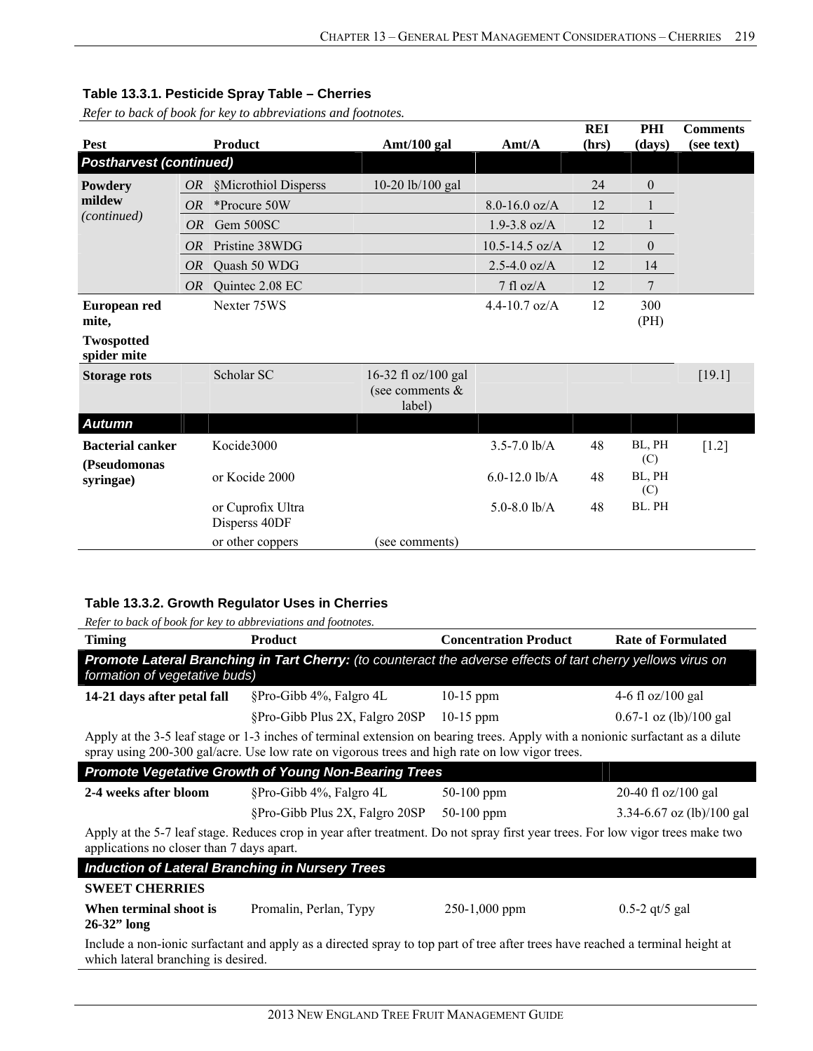*Refer to back of book for key to abbreviations and footnotes.*

| Pest                                    |           | <b>Product</b>                     | Amt/100 gal                                      | $\text{A}$ mt/ $\text{A}$ | <b>REI</b><br>(hrs) | PHI<br>(days)    | <b>Comments</b><br>(see text) |
|-----------------------------------------|-----------|------------------------------------|--------------------------------------------------|---------------------------|---------------------|------------------|-------------------------------|
| <b>Postharvest (continued)</b>          |           |                                    |                                                  |                           |                     |                  |                               |
| Powdery                                 | OR        | §Microthiol Disperss               | 10-20 lb/100 gal                                 |                           | 24                  | $\boldsymbol{0}$ |                               |
| mildew<br>(continued)                   | OR        | *Procure 50W                       |                                                  | $8.0 - 16.0$ oz/A         | 12                  |                  |                               |
|                                         | OR        | Gem 500SC                          |                                                  | $1.9 - 3.8$ oz/A          | 12                  |                  |                               |
|                                         | <i>OR</i> | Pristine 38WDG                     |                                                  | $10.5 - 14.5$ oz/A        | 12                  | $\overline{0}$   |                               |
|                                         | <i>OR</i> | Quash 50 WDG                       |                                                  | $2.5 - 4.0$ oz/A          | 12                  | 14               |                               |
|                                         | <i>OR</i> | Quintee 2.08 EC                    |                                                  | $7$ fl oz/A               | 12                  | 7                |                               |
| European red<br>mite,                   |           | Nexter 75WS                        |                                                  | $4.4 - 10.7$ oz/A         | 12                  | 300<br>(PH)      |                               |
| <b>Twospotted</b><br>spider mite        |           |                                    |                                                  |                           |                     |                  |                               |
| <b>Storage rots</b>                     |           | Scholar SC                         | 16-32 fl oz/100 gal<br>(see comments &<br>label) |                           |                     |                  | [19.1]                        |
| <b>Autumn</b>                           |           |                                    |                                                  |                           |                     |                  |                               |
| <b>Bacterial canker</b><br>(Pseudomonas |           | Kocide3000                         |                                                  | $3.5 - 7.0$ lb/A          | 48                  | BL, PH<br>(C)    | $[1.2]$                       |
| syringae)                               |           | or Kocide 2000                     |                                                  | $6.0 - 12.0$ lb/A         | 48                  | BL, PH<br>(C)    |                               |
|                                         |           | or Cuprofix Ultra<br>Disperss 40DF |                                                  | 5.0-8.0 $lb/A$            | 48                  | BL. PH           |                               |
|                                         |           | or other coppers                   | (see comments)                                   |                           |                     |                  |                               |

## **Table 13.3.2. Growth Regulator Uses in Cherries**

| <b>Timing</b>                                          | <b>Product</b>                                                                                                                                                                                                                   | <b>Concentration Product</b> | <b>Rate of Formulated</b>     |  |  |  |  |  |  |  |
|--------------------------------------------------------|----------------------------------------------------------------------------------------------------------------------------------------------------------------------------------------------------------------------------------|------------------------------|-------------------------------|--|--|--|--|--|--|--|
|                                                        | Promote Lateral Branching in Tart Cherry: (to counteract the adverse effects of tart cherry yellows virus on<br>formation of vegetative buds)                                                                                    |                              |                               |  |  |  |  |  |  |  |
| 14-21 days after petal fall                            | §Pro-Gibb 4%, Falgro 4L                                                                                                                                                                                                          | $10-15$ ppm                  | 4-6 fl $oz/100$ gal           |  |  |  |  |  |  |  |
|                                                        | §Pro-Gibb Plus 2X, Falgro 20SP 10-15 ppm                                                                                                                                                                                         |                              | $0.67-1$ oz (lb)/100 gal      |  |  |  |  |  |  |  |
|                                                        | Apply at the 3-5 leaf stage or 1-3 inches of terminal extension on bearing trees. Apply with a nonionic surfactant as a dilute<br>spray using 200-300 gal/acre. Use low rate on vigorous trees and high rate on low vigor trees. |                              |                               |  |  |  |  |  |  |  |
|                                                        | <b>Promote Vegetative Growth of Young Non-Bearing Trees</b>                                                                                                                                                                      |                              |                               |  |  |  |  |  |  |  |
| 2-4 weeks after bloom                                  | §Pro-Gibb 4%, Falgro 4L                                                                                                                                                                                                          | $50-100$ ppm                 | 20-40 fl $oz/100$ gal         |  |  |  |  |  |  |  |
|                                                        | §Pro-Gibb Plus 2X, Falgro 20SP                                                                                                                                                                                                   | $50-100$ ppm                 | $3.34 - 6.67$ oz (lb)/100 gal |  |  |  |  |  |  |  |
| applications no closer than 7 days apart.              | Apply at the 5-7 leaf stage. Reduces crop in year after treatment. Do not spray first year trees. For low vigor trees make two                                                                                                   |                              |                               |  |  |  |  |  |  |  |
| <b>Induction of Lateral Branching in Nursery Trees</b> |                                                                                                                                                                                                                                  |                              |                               |  |  |  |  |  |  |  |
| <b>SWEET CHERRIES</b>                                  |                                                                                                                                                                                                                                  |                              |                               |  |  |  |  |  |  |  |
| When terminal shoot is<br>$26-32$ " long               | Promalin, Perlan, Typy                                                                                                                                                                                                           | $250-1,000$ ppm              | $0.5 - 2$ qt/5 gal            |  |  |  |  |  |  |  |
| which lateral branching is desired.                    | Include a non-ionic surfactant and apply as a directed spray to top part of tree after trees have reached a terminal height at                                                                                                   |                              |                               |  |  |  |  |  |  |  |